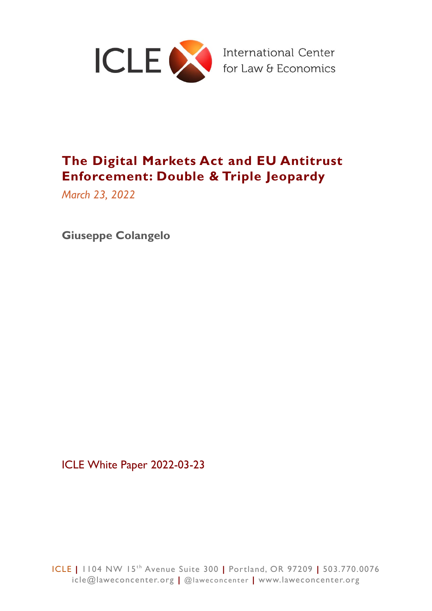

# **The Digital Markets Act and EU Antitrust Enforcement: Double & Triple Jeopardy**

*March 23, 2022*

**Giuseppe Colangelo**

ICLE White Paper 2022-03-23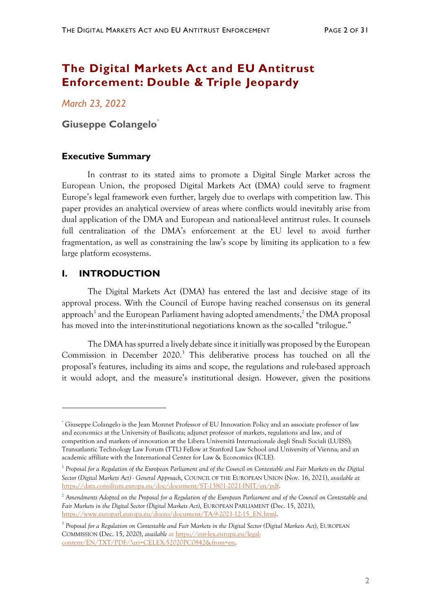## **The Digital Markets Act and EU Antitrust Enforcement: Double & Triple Jeopardy**

*March 23, 2022*

**Giuseppe Colangelo\***

## **Executive Summary**

In contrast to its stated aims to promote a Digital Single Market across the European Union, the proposed Digital Markets Act (DMA) could serve to fragment Europe's legal framework even further, largely due to overlaps with competition law. This paper provides an analytical overview of areas where conflicts would inevitably arise from dual application of the DMA and European and national-level antitrust rules. It counsels full centralization of the DMA's enforcement at the EU level to avoid further fragmentation, as well as constraining the law's scope by limiting its application to a few large platform ecosystems.

## **I. INTRODUCTION**

The Digital Markets Act (DMA) has entered the last and decisive stage of its approval process. With the Council of Europe having reached consensus on its general approach<sup>1</sup> and the European Parliament having adopted amendments, $^2$  the DMA proposal has moved into the inter-institutional negotiations known as the so-called "trilogue."

The DMA has spurred a lively debate since it initially was proposed by the European Commission in December 2020.<sup>3</sup> This deliberative process has touched on all the proposal's features, including its aims and scope, the regulations and rule-based approach it would adopt, and the measure's institutional design. However, given the positions

<sup>\*</sup> Giuseppe Colangelo is the Jean Monnet Professor of EU Innovation Policy and an associate professor of law and economics at the University of Basilicata; adjunct professor of markets, regulations and law, and of competition and markets of innovation at the Libera Università Internazionale degli Studi Sociali (LUISS); Transatlantic Technology Law Forum (TTL) Fellow at Stanford Law School and University of Vienna; and an academic affiliate with the International Center for Law & Economics (ICLE).

<sup>&</sup>lt;sup>1</sup> Proposal for a Regulation of the European Parliament and of the Council on Contestable and Fair Markets on the Digital *Sector (Digital Markets Act) - General Approach*, COUNCIL OF THE EUROPEAN UNION (Nov. 16, 2021), *available at* [https://data.consilium.europa.eu/doc/document/ST-13801-2021-INIT/en/pdf.](https://data.consilium.europa.eu/doc/document/ST-13801-2021-INIT/en/pdf)

<sup>2</sup> *Amendments Adopted on the Proposal for a Regulation of the European Parliament and of the Council on Contestable and Fair Markets in the Digital Sector (Digital Markets Act)*, EUROPEAN PARLIAMENT (Dec. 15, 2021), [https://www.europarl.europa.eu/doceo/document/TA-9-2021-12-15\\_EN.html.](https://www.europarl.europa.eu/doceo/document/TA-9-2021-12-15_EN.html)

<sup>3</sup> *Proposal for a Regulation on Contestable and Fair Markets in the Digital Sector (Digital Markets Act)*, EUROPEAN COMMISSION (Dec. 15, 2020), *available at* [https://eur-lex.europa.eu/legal](https://eur-lex.europa.eu/legal-content/EN/TXT/PDF/?uri=CELEX:52020PC0842&from=en)[content/EN/TXT/PDF/?uri=CELEX:52020PC0842&from=en.](https://eur-lex.europa.eu/legal-content/EN/TXT/PDF/?uri=CELEX:52020PC0842&from=en)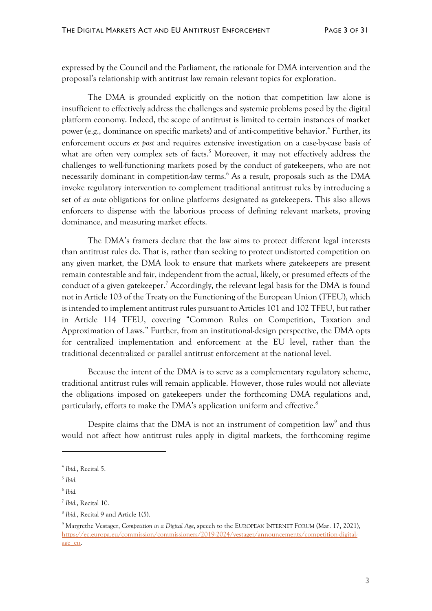expressed by the Council and the Parliament, the rationale for DMA intervention and the proposal's relationship with antitrust law remain relevant topics for exploration.

The DMA is grounded explicitly on the notion that competition law alone is insufficient to effectively address the challenges and systemic problems posed by the digital platform economy. Indeed, the scope of antitrust is limited to certain instances of market power (e.g., dominance on specific markets) and of anti-competitive behavior.<sup>4</sup> Further, its enforcement occurs *ex post* and requires extensive investigation on a case-by-case basis of what are often very complex sets of facts.<sup>5</sup> Moreover, it may not effectively address the challenges to well-functioning markets posed by the conduct of gatekeepers, who are not necessarily dominant in competition-law terms.<sup>6</sup> As a result, proposals such as the DMA invoke regulatory intervention to complement traditional antitrust rules by introducing a set of *ex ante* obligations for online platforms designated as gatekeepers. This also allows enforcers to dispense with the laborious process of defining relevant markets, proving dominance, and measuring market effects.

The DMA's framers declare that the law aims to protect different legal interests than antitrust rules do. That is, rather than seeking to protect undistorted competition on any given market, the DMA look to ensure that markets where gatekeepers are present remain contestable and fair, independent from the actual, likely, or presumed effects of the conduct of a given gatekeeper.<sup>7</sup> Accordingly, the relevant legal basis for the DMA is found not in Article 103 of the Treaty on the Functioning of the European Union (TFEU), which is intended to implement antitrust rules pursuant to Articles 101 and 102 TFEU, but rather in Article 114 TFEU, covering "Common Rules on Competition, Taxation and Approximation of Laws." Further, from an institutional-design perspective, the DMA opts for centralized implementation and enforcement at the EU level, rather than the traditional decentralized or parallel antitrust enforcement at the national level.

Because the intent of the DMA is to serve as a complementary regulatory scheme, traditional antitrust rules will remain applicable. However, those rules would not alleviate the obligations imposed on gatekeepers under the forthcoming DMA regulations and, particularly, efforts to make the DMA's application uniform and effective.<sup>8</sup>

Despite claims that the DMA is not an instrument of competition  $law<sup>9</sup>$  and thus would not affect how antitrust rules apply in digital markets, the forthcoming regime

<sup>4</sup> *Ibid.*, Recital 5.

<sup>5</sup> *Ibid.*

<sup>6</sup> *Ibid.*

<sup>7</sup> *Ibid.*, Recital 10.

<sup>8</sup> *Ibid.*, Recital 9 and Article 1(5).

<sup>9</sup> Margrethe Vestager, *Competition in a Digital Age*, speech to the EUROPEAN INTERNET FORUM (Mar. 17, 2021), [https://ec.europa.eu/commission/commissioners/2019-2024/vestager/announcements/competition-digital](https://ec.europa.eu/commission/commissioners/2019-2024/vestager/announcements/competition-digital-age_en)[age\\_en.](https://ec.europa.eu/commission/commissioners/2019-2024/vestager/announcements/competition-digital-age_en)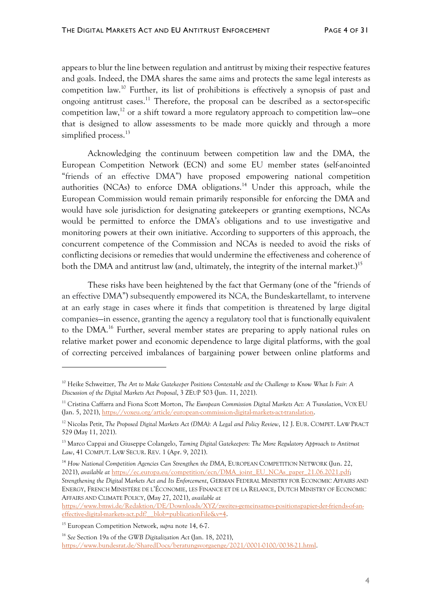appears to blur the line between regulation and antitrust by mixing their respective features and goals. Indeed, the DMA shares the same aims and protects the same legal interests as competition law.<sup>10</sup> Further, its list of prohibitions is effectively a synopsis of past and ongoing antitrust cases.<sup>11</sup> Therefore, the proposal can be described as a sector-specific competition law,<sup>12</sup> or a shift toward a more regulatory approach to competition law–one that is designed to allow assessments to be made more quickly and through a more simplified process. 13

Acknowledging the continuum between competition law and the DMA, the European Competition Network (ECN) and some EU member states (self-anointed "friends of an effective DMA") have proposed empowering national competition authorities (NCAs) to enforce DMA obligations.<sup>14</sup> Under this approach, while the European Commission would remain primarily responsible for enforcing the DMA and would have sole jurisdiction for designating gatekeepers or granting exemptions, NCAs would be permitted to enforce the DMA's obligations and to use investigative and monitoring powers at their own initiative. According to supporters of this approach, the concurrent competence of the Commission and NCAs is needed to avoid the risks of conflicting decisions or remedies that would undermine the effectiveness and coherence of both the DMA and antitrust law (and, ultimately, the integrity of the internal market.)<sup>15</sup>

These risks have been heightened by the fact that Germany (one of the "friends of an effective DMA") subsequently empowered its NCA, the Bundeskartellamt, to intervene at an early stage in cases where it finds that competition is threatened by large digital companies—in essence, granting the agency a regulatory tool that is functionally equivalent to the DMA.<sup>16</sup> Further, several member states are preparing to apply national rules on relative market power and economic dependence to large digital platforms, with the goal of correcting perceived imbalances of bargaining power between online platforms and

[https://www.bmwi.de/Redaktion/DE/Downloads/XYZ/zweites-gemeinsames-positionspapier-der-friends-of-an](https://www.bmwi.de/Redaktion/DE/Downloads/XYZ/zweites-gemeinsames-positionspapier-der-friends-of-an-effective-digital-markets-act.pdf?__blob=publicationFile&v=4)[effective-digital-markets-act.pdf?\\_\\_blob=publicationFile&v=4.](https://www.bmwi.de/Redaktion/DE/Downloads/XYZ/zweites-gemeinsames-positionspapier-der-friends-of-an-effective-digital-markets-act.pdf?__blob=publicationFile&v=4) 

<sup>10</sup> Heike Schweitzer, *The Art to Make Gatekeeper Positions Contestable and the Challenge to Know What Is Fair: A Discussion of the Digital Markets Act Proposal*, 3 ZEUP 503 (Jun. 11, 2021).

<sup>11</sup> Cristina Caffarra and Fiona Scott Morton, *The European Commission Digital Markets Act: A Translation*, VOX EU (Jan. 5, 2021), [https://voxeu.org/article/european-commission-digital-markets-act-translation.](https://voxeu.org/article/european-commission-digital-markets-act-translation)

<sup>12</sup> Nicolas Petit, *The Proposed Digital Markets Act (DMA): A Legal and Policy Review*, 12 J. EUR. COMPET. LAW PRACT 529 (May 11, 2021).

<sup>13</sup> Marco Cappai and Giuseppe Colangelo, *Taming Digital Gatekeepers: The More Regulatory Approach to Antitrust Law*, 41 COMPUT. LAW SECUR. REV. 1 (Apr. 9, 2021).

<sup>14</sup> *How National Competition Agencies Can Strengthen the DMA*, EUROPEAN COMPETITION NETWORK (Jun. 22, 2021), *available at* [https://ec.europa.eu/competition/ecn/DMA\\_joint\\_EU\\_NCAs\\_paper\\_21.06.2021.pdf;](https://ec.europa.eu/competition/ecn/DMA_joint_EU_NCAs_paper_21.06.2021.pdf) *Strengthening the Digital Markets Act and Its Enforcement*, GERMAN FEDERAL MINISTRY FOR ECONOMIC AFFAIRS AND ENERGY, FRENCH MINISTÉRE DE L'ÉCONOMIE, LES FINANCE ET DE LA RELANCE, DUTCH MINISTRY OF ECONOMIC AFFAIRS AND CLIMATE POLICY, (May 27, 2021), *available at*

<sup>15</sup> European Competition Network, *supra* note 14, 6-7.

<sup>16</sup> *See* Section 19a of the *GWB Digitalization Act* (Jan. 18, 2021), [https://www.bundesrat.de/SharedDocs/beratungsvorgaenge/2021/0001-0100/0038-21.html.](https://www.bundesrat.de/SharedDocs/beratungsvorgaenge/2021/0001-0100/0038-21.html)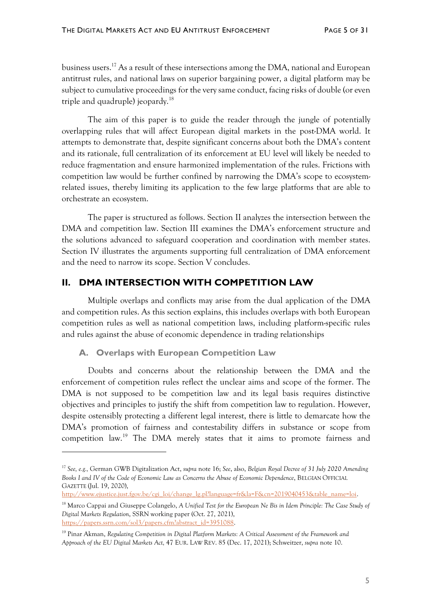business users.<sup>17</sup> As a result of these intersections among the DMA, national and European antitrust rules, and national laws on superior bargaining power, a digital platform may be subject to cumulative proceedings for the very same conduct, facing risks of double (or even triple and quadruple) jeopardy. $^{18}$ 

The aim of this paper is to guide the reader through the jungle of potentially overlapping rules that will affect European digital markets in the post-DMA world. It attempts to demonstrate that, despite significant concerns about both the DMA's content and its rationale, full centralization of its enforcement at EU level will likely be needed to reduce fragmentation and ensure harmonized implementation of the rules. Frictions with competition law would be further confined by narrowing the DMA's scope to ecosystemrelated issues, thereby limiting its application to the few large platforms that are able to orchestrate an ecosystem.

The paper is structured as follows. Section II analyzes the intersection between the DMA and competition law. Section III examines the DMA's enforcement structure and the solutions advanced to safeguard cooperation and coordination with member states. Section IV illustrates the arguments supporting full centralization of DMA enforcement and the need to narrow its scope. Section V concludes.

## **II. DMA INTERSECTION WITH COMPETITION LAW**

Multiple overlaps and conflicts may arise from the dual application of the DMA and competition rules. As this section explains, this includes overlaps with both European competition rules as well as national competition laws, including platform-specific rules and rules against the abuse of economic dependence in trading relationships

#### **A. Overlaps with European Competition Law**

Doubts and concerns about the relationship between the DMA and the enforcement of competition rules reflect the unclear aims and scope of the former. The DMA is not supposed to be competition law and its legal basis requires distinctive objectives and principles to justify the shift from competition law to regulation. However, despite ostensibly protecting a different legal interest, there is little to demarcate how the DMA's promotion of fairness and contestability differs in substance or scope from competition law.<sup>19</sup> The DMA merely states that it aims to promote fairness and

<sup>17</sup> *See, e.g.,* German GWB Digitalization Act, *supra* note 16; *See*, also, *Belgian Royal Decree of 31 July 2020 Amending Books I and IV of the Code of Economic Law as Concerns the Abuse of Economic Dependence*, BELGIAN OFFICIAL GAZETTE (Jul. 19, 2020),

[http://www.ejustice.just.fgov.be/cgi\\_loi/change\\_lg.pl?language=fr&la=F&cn=2019040453&table\\_name=loi.](http://www.ejustice.just.fgov.be/cgi_loi/change_lg.pl?language=fr&la=F&cn=2019040453&table_name=loi)

<sup>&</sup>lt;sup>18</sup> Marco Cappai and Giuseppe Colangelo, *A Unified Test for the European Ne Bis in Idem Principle: The Case Study of Digital Markets Regulation*, SSRN working paper (Oct. 27, 2021), [https://papers.ssrn.com/sol3/papers.cfm?abstract\\_id=3951088.](https://papers.ssrn.com/sol3/papers.cfm?abstract_id=3951088)

<sup>19</sup> Pinar Akman, *Regulating Competition in Digital Platform Markets: A Critical Assessment of the Framework and Approach of the EU Digital Markets Act,* 47 EUR. LAW REV. 85 (Dec. 17, 2021); Schweitzer, *supra* note 10.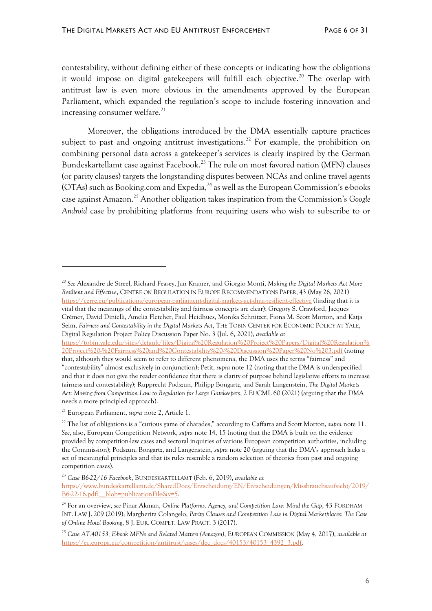contestability, without defining either of these concepts or indicating how the obligations it would impose on digital gatekeepers will fulfill each objective.<sup>20</sup> The overlap with antitrust law is even more obvious in the amendments approved by the European Parliament, which expanded the regulation's scope to include fostering innovation and increasing consumer welfare.<sup>21</sup>

Moreover, the obligations introduced by the DMA essentially capture practices subject to past and ongoing antitrust investigations.<sup>22</sup> For example, the prohibition on combining personal data across a gatekeeper's services is clearly inspired by the German Bundeskartellamt case against Facebook.<sup>23</sup> The rule on most favored nation (MFN) clauses (or parity clauses) targets the longstanding disputes between NCAs and online travel agents (OTAs) such as Booking.com and Expedia, <sup>24</sup> as well as the European Commission's e-books case against Amazon. <sup>25</sup> Another obligation takes inspiration from the Commission's *Google Android* case by prohibiting platforms from requiring users who wish to subscribe to or

<sup>20</sup> *See* Alexandre de Streel, Richard Feasey, Jan Kramer, and Giorgio Monti, *Making the Digital Markets Act More Resilient and Effective*, CENTRE ON REGULATION IN EUROPE RECOMMENDATIONS PAPER, 43 (May 26, 2021) [https://cerre.eu/publications/european-parliament-digital-markets-act-dma-resilient-effective](https://cerre.eu/publications/european-parliament-digital-markets-act-dma-resilient-effective/) (finding that it is vital that the meanings of the contestability and fairness concepts are clear); Gregory S. Crawford, Jacques Crémer, David Dinielli, Amelia Fletcher, Paul Heidhues, Monika Schnitzer, Fiona M. Scott Morton, and Katja Seim, *Fairness and Contestability in the Digital Markets Act*, THE TOBIN CENTER FOR ECONOMIC POLICY AT YALE, Digital Regulation Project Policy Discussion Paper No. 3 (Jul. 6, 2021), *available at* [https://tobin.yale.edu/sites/default/files/Digital%20Regulation%20Project%20Papers/Digital%20Regulation%](https://tobin.yale.edu/sites/default/files/Digital%20Regulation%20Project%20Papers/Digital%20Regulation%20Project%20-%20Fairness%20and%20Contestability%20-%20Discussion%20Paper%20No%203.pdf) [20Project%20-%20Fairness%20and%20Contestability%20-%20Discussion%20Paper%20No%203.pdf](https://tobin.yale.edu/sites/default/files/Digital%20Regulation%20Project%20Papers/Digital%20Regulation%20Project%20-%20Fairness%20and%20Contestability%20-%20Discussion%20Paper%20No%203.pdf) (noting that, although they would seem to refer to different phenomena, the DMA uses the terms "fairness" and "contestability" almost exclusively in conjunction); Petit, *supra* note 12 (noting that the DMA is underspecified and that it does not give the reader confidence that there is clarity of purpose behind legislative efforts to increase fairness and contestability); Rupprecht Podszun, Philipp Bongartz, and Sarah Langenstein, *The Digital Markets Act: Moving from Competition Law to Regulation for Large Gatekeepers*, 2 EUCML 60 (2021) (arguing that the DMA needs a more principled approach).

<sup>21</sup> European Parliament, *supra* note 2, Article 1.

<sup>22</sup> The list of obligations is a "curious game of charades," according to Caffarra and Scott Morton, *supra* note 11. *See*, also, European Competition Network, *supra* note 14, 15 (noting that the DMA is built on the evidence provided by competition-law cases and sectoral inquiries of various European competition authorities, including the Commission); Podszun, Bongartz, and Langenstein, *supra* note 20 (arguing that the DMA's approach lacks a set of meaningful principles and that its rules resemble a random selection of theories from past and ongoing competition cases).

<sup>23</sup> *Case B6-22/16 Facebook*, BUNDESKARTELLAMT (Feb. 6, 2019), *available at* [https://www.bundeskartellamt.de/SharedDocs/Entscheidung/EN/Entscheidungen/Missbrauchsaufsicht/2019/](https://www.bundeskartellamt.de/SharedDocs/Entscheidung/EN/Entscheidungen/Missbrauchsaufsicht/2019/B6-22-16.pdf?__blob=publicationFile&v=5) B6-22-16.pdf? blob=publicationFile&v=5.

<sup>24</sup> For an overview, *see* Pinar Akman, *Online Platforms, Agency, and Competition Law: Mind the Gap*, 43 FORDHAM INT. LAW J. 209 (2019); Margherita Colangelo, *Parity Clauses and Competition Law in Digital Marketplaces: The Case of Online Hotel Booking*, 8 J. EUR. COMPET. LAW PRACT. 3 (2017).

<sup>25</sup> *Case AT.40153, E-book MFNs and Related Matters (Amazon)*, EUROPEAN COMMISSION (May 4, 2017), *available at* [https://ec.europa.eu/competition/antitrust/cases/dec\\_docs/40153/40153\\_4392\\_3.pdf.](https://ec.europa.eu/competition/antitrust/cases/dec_docs/40153/40153_4392_3.pdf)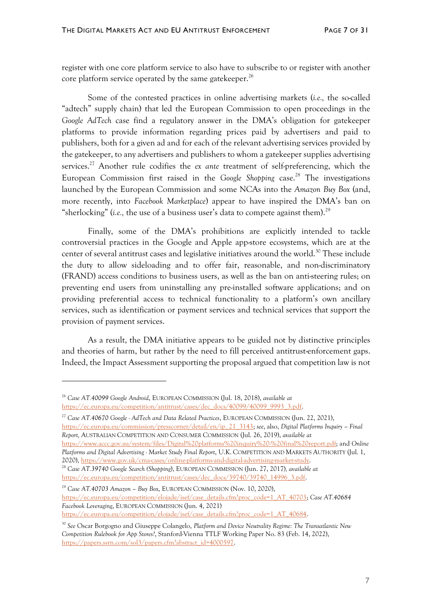register with one core platform service to also have to subscribe to or register with another core platform service operated by the same gatekeeper. 26

Some of the contested practices in online advertising markets (*i.e.,* the so-called "adtech" supply chain) that led the European Commission to open proceedings in the *Google AdTech* case find a regulatory answer in the DMA's obligation for gatekeeper platforms to provide information regarding prices paid by advertisers and paid to publishers, both for a given ad and for each of the relevant advertising services provided by the gatekeeper, to any advertisers and publishers to whom a gatekeeper supplies advertising services. <sup>27</sup> Another rule codifies the *ex ante* treatment of self-preferencing, which the European Commission first raised in the *Google Shopping* case. <sup>28</sup> The investigations launched by the European Commission and some NCAs into the *Amazon Buy Box* (and, more recently, into *Facebook Marketplace*) appear to have inspired the DMA's ban on "sherlocking" (*i.e.*, the use of a business user's data to compete against them).<sup>29</sup>

Finally, some of the DMA's prohibitions are explicitly intended to tackle controversial practices in the Google and Apple app-store ecosystems, which are at the center of several antitrust cases and legislative initiatives around the world. <sup>30</sup> These include the duty to allow sideloading and to offer fair, reasonable, and non-discriminatory (FRAND) access conditions to business users, as well as the ban on anti-steering rules; on preventing end users from uninstalling any pre-installed software applications; and on providing preferential access to technical functionality to a platform's own ancillary services, such as identification or payment services and technical services that support the provision of payment services.

As a result, the DMA initiative appears to be guided not by distinctive principles and theories of harm, but rather by the need to fill perceived antitrust-enforcement gaps. Indeed, the Impact Assessment supporting the proposal argued that competition law is not

[https://www.accc.gov.au/system/files/Digital%20platforms%20inquiry%20-%20final%20report.pdf;](https://www.accc.gov.au/system/files/Digital%20platforms%20inquiry%20-%20final%20report.pdf) and *Online Platforms and Digital Advertising - Market Study Final Report*, U.K. COMPETITION AND MARKETS AUTHORITY (Jul. 1, 2020)[, https://www.gov.uk/cma-cases/online-platforms-and-digital-advertising-market-study.](https://www.gov.uk/cma-cases/online-platforms-and-digital-advertising-market-study)

<sup>26</sup> *Case AT.40099 Google Android*, EUROPEAN COMMISSION (Jul. 18, 2018), *available at*

[https://ec.europa.eu/competition/antitrust/cases/dec\\_docs/40099/40099\\_9993\\_3.pdf.](https://ec.europa.eu/competition/antitrust/cases/dec_docs/40099/40099_9993_3.pdf)

<sup>27</sup> *Case AT.40670 Google - AdTech and Data Related Practices*, EUROPEAN COMMISSION (Jun. 22, 2021), [https://ec.europa.eu/commission/presscorner/detail/en/ip\\_21\\_3143;](https://ec.europa.eu/commission/presscorner/detail/en/ip_21_3143) *see*, also, *Digital Platforms Inquiry – Final Report,* AUSTRALIAN COMPETITION AND CONSUMER COMMISSION (Jul. 26, 2019), *available at*

<sup>28</sup> *Case AT.39740 Google Search (Shopping*), EUROPEAN COMMISSION (Jun. 27, 2017)*, available at* [https://ec.europa.eu/competition/antitrust/cases/dec\\_docs/39740/39740\\_14996\\_3.pdf.](https://ec.europa.eu/competition/antitrust/cases/dec_docs/39740/39740_14996_3.pdf)

<sup>29</sup> *Case AT.40703 Amazon – Buy Box*, EUROPEAN COMMISSION (Nov. 10, 2020), [https://ec.europa.eu/competition/elojade/isef/case\\_details.cfm?proc\\_code=1\\_AT\\_40703;](https://ec.europa.eu/competition/elojade/isef/case_details.cfm?proc_code=1_AT_40703) *Case AT.40684 Facebook Leveraging*, EUROPEAN COMMISSION (Jun. 4, 2021) [https://ec.europa.eu/competition/elojade/isef/case\\_details.cfm?proc\\_code=1\\_AT\\_40684.](https://ec.europa.eu/competition/elojade/isef/case_details.cfm?proc_code=1_AT_40684)

<sup>30</sup> *See* Oscar Borgogno and Giuseppe Colangelo, *Platform and Device Neutrality Regime: The Transatlantic New Competition Rulebook for App Stores?*, Stanford-Vienna TTLF Working Paper No. 83 (Feb. 14, 2022), [https://papers.ssrn.com/sol3/papers.cfm?abstract\\_id=4000597.](https://papers.ssrn.com/sol3/papers.cfm?abstract_id=4000597)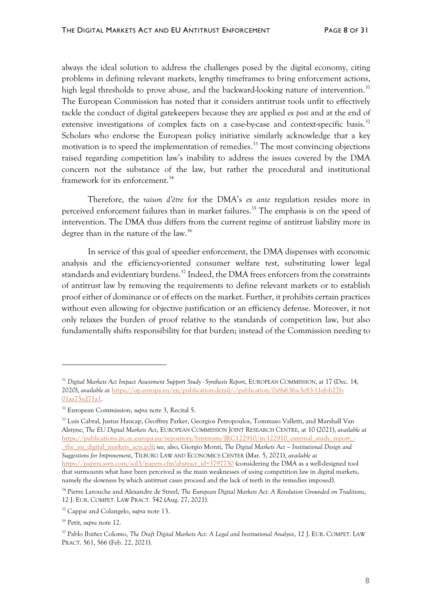always the ideal solution to address the challenges posed by the digital economy, citing problems in defining relevant markets, lengthy timeframes to bring enforcement actions, high legal thresholds to prove abuse, and the backward-looking nature of intervention.<sup>31</sup> The European Commission has noted that it considers antitrust tools unfit to effectively tackle the conduct of digital gatekeepers because they are applied *ex post* and at the end of extensive investigations of complex facts on a case-by-case and context-specific basis.<sup>32</sup> Scholars who endorse the European policy initiative similarly acknowledge that a key motivation is to speed the implementation of remedies.<sup>33</sup> The most convincing objections raised regarding competition law's inability to address the issues covered by the DMA concern not the substance of the law, but rather the procedural and institutional framework for its enforcement.<sup>34</sup>

Therefore, the *raison d'être* for the DMA's *ex ante* regulation resides more in perceived enforcement failures than in market failures. <sup>35</sup> The emphasis is on the speed of intervention. The DMA thus differs from the current regime of antitrust liability more in degree than in the nature of the law. 36

In service of this goal of speedier enforcement, the DMA dispenses with economic analysis and the efficiency-oriented consumer welfare test, substituting lower legal standards and evidentiary burdens.<sup>37</sup> Indeed, the DMA frees enforcers from the constraints of antitrust law by removing the requirements to define relevant markets or to establish proof either of dominance or of effects on the market. Further, it prohibits certain practices without even allowing for objective justification or an efficiency defense. Moreover, it not only relaxes the burden of proof relative to the standards of competition law, but also fundamentally shifts responsibility for that burden; instead of the Commission needing to

<sup>33</sup> Luís Cabral, Justus Haucap, Geoffrey Parker, Georgios Petropoulos, Tommaso Valletti, and Marshall Van Alstyne, *The EU Digital Markets Act*, EUROPEAN COMMISSION JOINT RESEARCH CENTRE, at 10 (2021), *available at* [https://publications.jrc.ec.europa.eu/repository/bitstream/JRC122910/jrc122910\\_external\\_study\\_report\\_-](https://publications.jrc.ec.europa.eu/repository/bitstream/JRC122910/jrc122910_external_study_report_-_the_eu_digital_markets_acts.pdf) [\\_the\\_eu\\_digital\\_markets\\_acts.pdf;](https://publications.jrc.ec.europa.eu/repository/bitstream/JRC122910/jrc122910_external_study_report_-_the_eu_digital_markets_acts.pdf) s*ee,* also, Giorgio Monti, *The Digital Markets Act – Institutional Design and Suggestions for Improvement*, TILBURG LAW AND ECONOMICS CENTER (Mar. 5, 2021), *available at* [https://papers.ssrn.com/sol3/papers.cfm?abstract\\_id=3797730](https://papers.ssrn.com/sol3/papers.cfm?abstract_id=3797730) (considering the DMA as a well-designed tool that surmounts what have been perceived as the main weaknesses of using competition law in digital markets, namely the slowness by which antitrust cases proceed and the lack of teeth in the remedies imposed).

<sup>31</sup> *Digital Markets Act Impact Assessment Support Study - Synthesis Report*, EUROPEAN COMMISSION, at 17 (Dec. 14, 2020), *available at* [https://op.europa.eu/en/publication-detail/-/publication/0a9a636a-3e83-11eb-b27b-](https://op.europa.eu/en/publication-detail/-/publication/0a9a636a-3e83-11eb-b27b-01aa75ed71a1)[01aa75ed71a1.](https://op.europa.eu/en/publication-detail/-/publication/0a9a636a-3e83-11eb-b27b-01aa75ed71a1)

<sup>32</sup> European Commission, *supra* note 3, Recital 5.

<sup>34</sup> Pierre Larouche and Alexandre de Streel, *The European Digital Markets Act: A Revolution Grounded on Traditions*, 12 J. EUR. COMPET. LAW PRACT. 542 (Aug. 27, 2021).

<sup>35</sup> Cappai and Colangelo, *supra* note 13.

<sup>36</sup> Petit, *supra* note 12.

<sup>37</sup> Pablo Ibáñez Colomo, *The Draft Digital Markets Act: A Legal and Institutional Analysis*, 12 J. EUR. COMPET. LAW PRACT. 561, 566 (Feb. 22, 2021).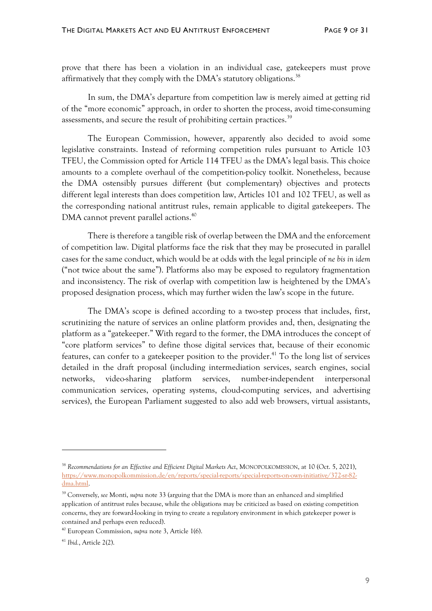prove that there has been a violation in an individual case, gatekeepers must prove affirmatively that they comply with the DMA's statutory obligations.<sup>38</sup>

In sum, the DMA's departure from competition law is merely aimed at getting rid of the "more economic" approach, in order to shorten the process, avoid time-consuming assessments, and secure the result of prohibiting certain practices.<sup>39</sup>

The European Commission, however, apparently also decided to avoid some legislative constraints. Instead of reforming competition rules pursuant to Article 103 TFEU, the Commission opted for Article 114 TFEU as the DMA's legal basis. This choice amounts to a complete overhaul of the competition-policy toolkit. Nonetheless, because the DMA ostensibly pursues different (but complementary) objectives and protects different legal interests than does competition law, Articles 101 and 102 TFEU, as well as the corresponding national antitrust rules, remain applicable to digital gatekeepers. The DMA cannot prevent parallel actions.<sup>40</sup>

There is therefore a tangible risk of overlap between the DMA and the enforcement of competition law. Digital platforms face the risk that they may be prosecuted in parallel cases for the same conduct, which would be at odds with the legal principle of *ne bis in idem* ("not twice about the same"). Platforms also may be exposed to regulatory fragmentation and inconsistency. The risk of overlap with competition law is heightened by the DMA's proposed designation process, which may further widen the law's scope in the future.

The DMA's scope is defined according to a two-step process that includes, first, scrutinizing the nature of services an online platform provides and, then, designating the platform as a "gatekeeper." With regard to the former, the DMA introduces the concept of "core platform services" to define those digital services that, because of their economic features, can confer to a gatekeeper position to the provider. <sup>41</sup> To the long list of services detailed in the draft proposal (including intermediation services, search engines, social networks, video-sharing platform services, number-independent interpersonal communication services, operating systems, cloud-computing services, and advertising services), the European Parliament suggested to also add web browsers, virtual assistants,

<sup>38</sup> *Recommendations for an Effective and Efficient Digital Markets Act*, MONOPOLKOMISSION, at 10 (Oct. 5, 2021), [https://www.monopolkommission.de/en/reports/special-reports/special-reports-on-own-initiative/372-sr-82](https://www.monopolkommission.de/en/reports/special-reports/special-reports-on-own-initiative/372-sr-82-dma.html) [dma.html.](https://www.monopolkommission.de/en/reports/special-reports/special-reports-on-own-initiative/372-sr-82-dma.html)

<sup>39</sup> Conversely, *see* Monti, *supra* note 33 (arguing that the DMA is more than an enhanced and simplified application of antitrust rules because, while the obligations may be criticized as based on existing competition concerns, they are forward-looking in trying to create a regulatory environment in which gatekeeper power is contained and perhaps even reduced).

<sup>40</sup> European Commission, *supra* note 3, Article 1(6).

<sup>41</sup> *Ibid.*, Article 2(2).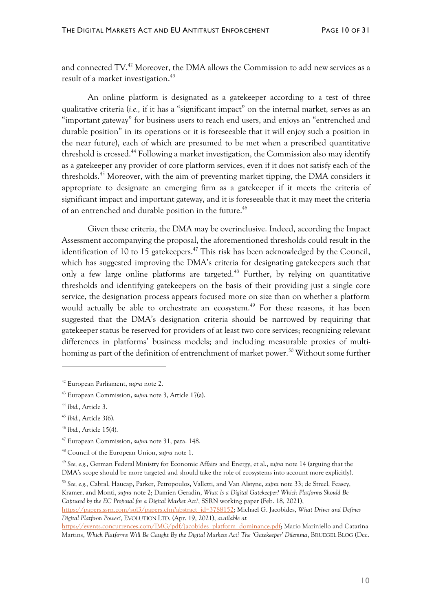and connected TV.<sup>42</sup> Moreover, the DMA allows the Commission to add new services as a result of a market investigation.<sup>43</sup>

An online platform is designated as a gatekeeper according to a test of three qualitative criteria (*i.e.,* if it has a "significant impact" on the internal market, serves as an "important gateway" for business users to reach end users, and enjoys an "entrenched and durable position" in its operations or it is foreseeable that it will enjoy such a position in the near future), each of which are presumed to be met when a prescribed quantitative threshold is crossed.<sup>44</sup> Following a market investigation, the Commission also may identify as a gatekeeper any provider of core platform services, even if it does not satisfy each of the thresholds.<sup>45</sup> Moreover, with the aim of preventing market tipping, the DMA considers it appropriate to designate an emerging firm as a gatekeeper if it meets the criteria of significant impact and important gateway, and it is foreseeable that it may meet the criteria of an entrenched and durable position in the future. 46

Given these criteria, the DMA may be overinclusive. Indeed, according the Impact Assessment accompanying the proposal, the aforementioned thresholds could result in the identification of 10 to 15 gatekeepers.<sup>47</sup> This risk has been acknowledged by the Council, which has suggested improving the DMA's criteria for designating gatekeepers such that only a few large online platforms are targeted. <sup>48</sup> Further, by relying on quantitative thresholds and identifying gatekeepers on the basis of their providing just a single core service, the designation process appears focused more on size than on whether a platform would actually be able to orchestrate an ecosystem.<sup>49</sup> For these reasons, it has been suggested that the DMA's designation criteria should be narrowed by requiring that gatekeeper status be reserved for providers of at least two core services; recognizing relevant differences in platforms' business models; and including measurable proxies of multihoming as part of the definition of entrenchment of market power.<sup>50</sup> Without some further

<sup>49</sup> *See, e.g.*, German Federal Ministry for Economic Affairs and Energy, et al., *supra* note 14 (arguing that the DMA's scope should be more targeted and should take the role of ecosystems into account more explicitly).

<sup>50</sup> *See, e.g.,* Cabral, Haucap, Parker, Petropoulos, Valletti, and Van Alstyne, *supra* note 33; de Streel, Feasey, Kramer, and Monti, *supra* note 2; Damien Geradin, *What Is a Digital Gatekeeper? Which Platforms Should Be Captured by the EC Proposal for a Digital Market Act?*, SSRN working paper (Feb. 18, 2021),

[https://papers.ssrn.com/sol3/papers.cfm?abstract\\_id=3788152;](https://papers.ssrn.com/sol3/papers.cfm?abstract_id=3788152) Michael G. Jacobides, *What Drives and Defines Digital Platform Power?*, EVOLUTION LTD. (Apr. 19, 2021), *available at*

<sup>42</sup> European Parliament, *supra* note 2.

<sup>43</sup> European Commission, *supra* note 3, Article 17(a).

<sup>44</sup> *Ibid.*, Article 3.

<sup>45</sup> *Ibid.*, Article 3(6).

<sup>46</sup> *Ibid.*, Article 15(4).

<sup>47</sup> European Commission, *supra* note 31, para. 148.

<sup>48</sup> Council of the European Union, *supra* note 1.

[https://events.concurrences.com/IMG/pdf/jacobides\\_platform\\_dominance.pdf;](https://events.concurrences.com/IMG/pdf/jacobides_platform_dominance.pdf) Mario Mariniello and Catarina Martins, *Which Platforms Will Be Caught By the Digital Markets Act? The 'Gatekeeper' Dilemma*, BRUEGEL BLOG (Dec.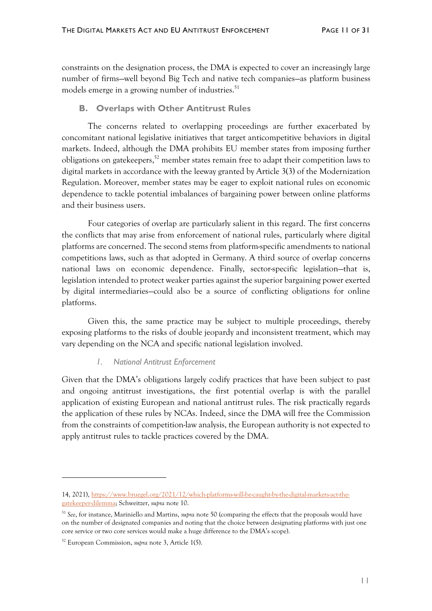constraints on the designation process, the DMA is expected to cover an increasingly large number of firms—well beyond Big Tech and native tech companies—as platform business models emerge in a growing number of industries. 51

#### **B. Overlaps with Other Antitrust Rules**

The concerns related to overlapping proceedings are further exacerbated by concomitant national legislative initiatives that target anticompetitive behaviors in digital markets. Indeed, although the DMA prohibits EU member states from imposing further obligations on gatekeepers, <sup>52</sup> member states remain free to adapt their competition laws to digital markets in accordance with the leeway granted by Article 3(3) of the Modernization Regulation. Moreover, member states may be eager to exploit national rules on economic dependence to tackle potential imbalances of bargaining power between online platforms and their business users.

Four categories of overlap are particularly salient in this regard. The first concerns the conflicts that may arise from enforcement of national rules, particularly where digital platforms are concerned. The second stems from platform-specific amendments to national competitions laws, such as that adopted in Germany. A third source of overlap concerns national laws on economic dependence. Finally, sector-specific legislation—that is, legislation intended to protect weaker parties against the superior bargaining power exerted by digital intermediaries—could also be a source of conflicting obligations for online platforms.

Given this, the same practice may be subject to multiple proceedings, thereby exposing platforms to the risks of double jeopardy and inconsistent treatment, which may vary depending on the NCA and specific national legislation involved.

#### *1. National Antitrust Enforcement*

Given that the DMA's obligations largely codify practices that have been subject to past and ongoing antitrust investigations, the first potential overlap is with the parallel application of existing European and national antitrust rules. The risk practically regards the application of these rules by NCAs. Indeed, since the DMA will free the Commission from the constraints of competition-law analysis, the European authority is not expected to apply antitrust rules to tackle practices covered by the DMA.

<sup>14, 2021),</sup> [https://www.bruegel.org/2021/12/which-platforms-will-be-caught-by-the-digital-markets-act-the](https://www.bruegel.org/2021/12/which-platforms-will-be-caught-by-the-digital-markets-act-the-gatekeeper-dilemma/)[gatekeeper-dilemma;](https://www.bruegel.org/2021/12/which-platforms-will-be-caught-by-the-digital-markets-act-the-gatekeeper-dilemma/) Schweitzer, *supra* note 10.

<sup>51</sup> *See*, for instance, Mariniello and Martins, *supra* note 50 (comparing the effects that the proposals would have on the number of designated companies and noting that the choice between designating platforms with just one core service or two core services would make a huge difference to the DMA's scope).

<sup>52</sup> European Commission, *supra* note 3, Article 1(5).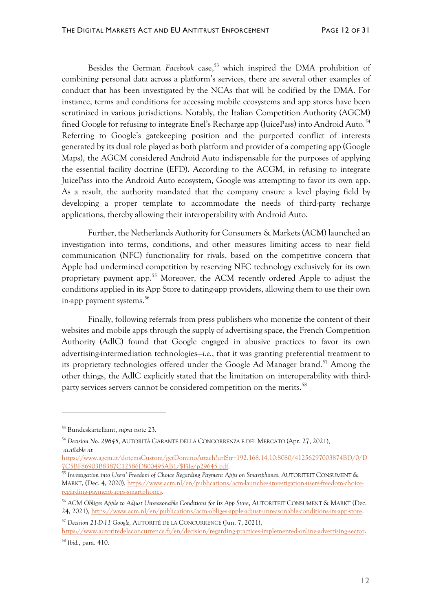Besides the German *Facebook* case, <sup>53</sup> which inspired the DMA prohibition of combining personal data across a platform's services, there are several other examples of conduct that has been investigated by the NCAs that will be codified by the DMA. For instance, terms and conditions for accessing mobile ecosystems and app stores have been scrutinized in various jurisdictions. Notably, the Italian Competition Authority (AGCM) fined Google for refusing to integrate Enel's Recharge app (JuicePass) into Android Auto.<sup>54</sup> Referring to Google's gatekeeping position and the purported conflict of interests generated by its dual role played as both platform and provider of a competing app (Google Maps), the AGCM considered Android Auto indispensable for the purposes of applying the essential facility doctrine (EFD). According to the ACGM, in refusing to integrate JuicePass into the Android Auto ecosystem, Google was attempting to favor its own app. As a result, the authority mandated that the company ensure a level playing field by developing a proper template to accommodate the needs of third-party recharge applications, thereby allowing their interoperability with Android Auto.

Further, the Netherlands Authority for Consumers & Markets (ACM) launched an investigation into terms, conditions, and other measures limiting access to near field communication (NFC) functionality for rivals, based on the competitive concern that Apple had undermined competition by reserving NFC technology exclusively for its own proprietary payment app.<sup>55</sup> Moreover, the ACM recently ordered Apple to adjust the conditions applied in its App Store to dating-app providers, allowing them to use their own in-app payment systems. 56

Finally, following referrals from press publishers who monetize the content of their websites and mobile apps through the supply of advertising space, the French Competition Authority (AdlC) found that Google engaged in abusive practices to favor its own advertising-intermediation technologies—*i.e.*, that it was granting preferential treatment to its proprietary technologies offered under the Google Ad Manager brand.<sup>57</sup> Among the other things, the AdlC explicitly stated that the limitation on interoperability with thirdparty services servers cannot be considered competition on the merits.<sup>58</sup>

<sup>53</sup> Bundeskartellamt, *supra* note 23.

<sup>54</sup> *Decision No. 29645*, AUTORITÀ GARANTE DELLA CONCORRENZA E DEL MERCATO (Apr. 27, 2021), *available at*

[https://www.agcm.it/dotcmsCustom/getDominoAttach?urlStr=192.168.14.10:8080/41256297003874BD/0/D](https://www.agcm.it/dotcmsCustom/getDominoAttach?urlStr=192.168.14.10:8080/41256297003874BD/0/D7C5BF86903B8387C12586D800495AB1/$File/p29645.pdf) [7C5BF86903B8387C12586D800495AB1/\\$File/p29645.pdf](https://www.agcm.it/dotcmsCustom/getDominoAttach?urlStr=192.168.14.10:8080/41256297003874BD/0/D7C5BF86903B8387C12586D800495AB1/$File/p29645.pdf)*.*

<sup>55</sup> *Investigation into Users' Freedom of Choice Regarding Payment Apps on Smartphones*, AUTORITEIT CONSUMENT & MARKT, (Dec. 4, 2020), [https://www.acm.nl/en/publications/acm-launches-investigation-users-freedom-choice](https://www.acm.nl/en/publications/acm-launches-investigation-users-freedom-choice-regarding-payment-apps-smartphones)[regarding-payment-apps-smartphones.](https://www.acm.nl/en/publications/acm-launches-investigation-users-freedom-choice-regarding-payment-apps-smartphones)

<sup>56</sup> *ACM Obliges Apple to Adjust Unreasonable Conditions for Its App Store*, AUTORITEIT CONSUMENT & MARKT (Dec. 24, 2021), [https://www.acm.nl/en/publications/acm-obliges-apple-adjust-unreasonable-conditions-its-app-store.](https://www.acm.nl/en/publications/acm-obliges-apple-adjust-unreasonable-conditions-its-app-store)

<sup>57</sup> *Decision 21-D-11 Google,* AUTORITÉ DE LA CONCURRENCE (Jun. 7, 2021), [https://www.autoritedelaconcurrence.fr/en/decision/regarding-practices-implemented-online-advertising-sector.](https://www.autoritedelaconcurrence.fr/en/decision/regarding-practices-implemented-online-advertising-sector)

<sup>58</sup> *Ibid.*, para. 410.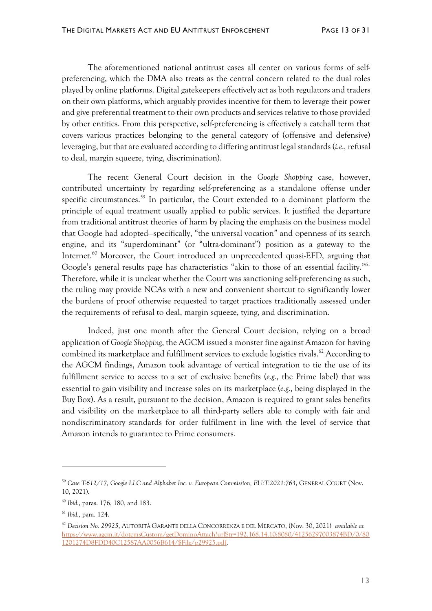The aforementioned national antitrust cases all center on various forms of selfpreferencing, which the DMA also treats as the central concern related to the dual roles played by online platforms. Digital gatekeepers effectively act as both regulators and traders on their own platforms, which arguably provides incentive for them to leverage their power and give preferential treatment to their own products and services relative to those provided by other entities. From this perspective, self-preferencing is effectively a catchall term that covers various practices belonging to the general category of (offensive and defensive) leveraging, but that are evaluated according to differing antitrust legal standards (*i.e.,* refusal to deal, margin squeeze, tying, discrimination).

The recent General Court decision in the *Google Shopping* case, however, contributed uncertainty by regarding self-preferencing as a standalone offense under specific circumstances.<sup>59</sup> In particular, the Court extended to a dominant platform the principle of equal treatment usually applied to public services. It justified the departure from traditional antitrust theories of harm by placing the emphasis on the business model that Google had adopted—specifically, "the universal vocation" and openness of its search engine, and its "superdominant" (or "ultra-dominant") position as a gateway to the Internet.<sup>60</sup> Moreover, the Court introduced an unprecedented quasi-EFD, arguing that Google's general results page has characteristics "akin to those of an essential facility." 61 Therefore, while it is unclear whether the Court was sanctioning self-preferencing as such, the ruling may provide NCAs with a new and convenient shortcut to significantly lower the burdens of proof otherwise requested to target practices traditionally assessed under the requirements of refusal to deal, margin squeeze, tying, and discrimination.

Indeed, just one month after the General Court decision, relying on a broad application of *Google Shopping*, the AGCM issued a monster fine against Amazon for having combined its marketplace and fulfillment services to exclude logistics rivals. <sup>62</sup> According to the AGCM findings, Amazon took advantage of vertical integration to tie the use of its fulfillment service to access to a set of exclusive benefits (*e.g.,* the Prime label) that was essential to gain visibility and increase sales on its marketplace (*e.g.,* being displayed in the Buy Box). As a result, pursuant to the decision, Amazon is required to grant sales benefits and visibility on the marketplace to all third-party sellers able to comply with fair and nondiscriminatory standards for order fulfilment in line with the level of service that Amazon intends to guarantee to Prime consumers*.*

<sup>59</sup> *Case T-612/17, Google LLC and Alphabet Inc. v. European Commission, EU:T:2021:763*, GENERAL COURT (Nov. 10, 2021).

<sup>60</sup> *Ibid.*, paras. 176, 180, and 183.

<sup>61</sup> *Ibid.*, para. 124.

<sup>62</sup> *Decision No. 29925*, AUTORITÀ GARANTE DELLA CONCORRENZA E DEL MERCATO, (Nov. 30, 2021) *available at* [https://www.agcm.it/dotcmsCustom/getDominoAttach?urlStr=192.168.14.10:8080/41256297003874BD/0/80](https://www.agcm.it/dotcmsCustom/getDominoAttach?urlStr=192.168.14.10:8080/41256297003874BD/0/801201274D8FDD40C12587AA0056B614/$File/p29925.pdf) [1201274D8FDD40C12587AA0056B614/\\$File/p29925.pdf.](https://www.agcm.it/dotcmsCustom/getDominoAttach?urlStr=192.168.14.10:8080/41256297003874BD/0/801201274D8FDD40C12587AA0056B614/$File/p29925.pdf)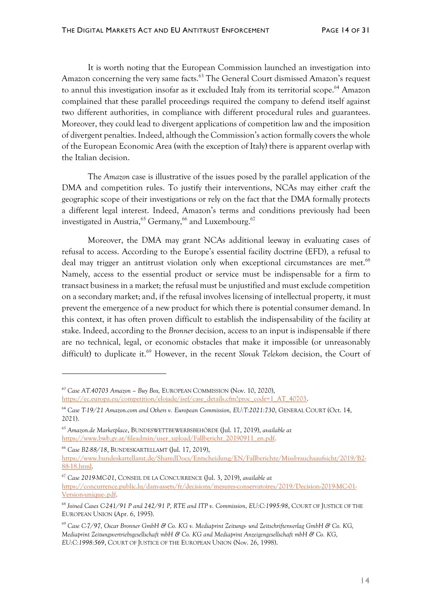It is worth noting that the European Commission launched an investigation into Amazon concerning the very same facts.<sup>63</sup> The General Court dismissed Amazon's request to annul this investigation insofar as it excluded Italy from its territorial scope.<sup>64</sup> Amazon complained that these parallel proceedings required the company to defend itself against two different authorities, in compliance with different procedural rules and guarantees. Moreover, they could lead to divergent applications of competition law and the imposition of divergent penalties. Indeed, although the Commission's action formally covers the whole of the European Economic Area (with the exception of Italy) there is apparent overlap with the Italian decision.

The *Amazon* case is illustrative of the issues posed by the parallel application of the DMA and competition rules. To justify their interventions, NCAs may either craft the geographic scope of their investigations or rely on the fact that the DMA formally protects a different legal interest. Indeed, Amazon's terms and conditions previously had been investigated in Austria,<sup>65</sup> Germany,<sup>66</sup> and Luxembourg.<sup>67</sup>

Moreover, the DMA may grant NCAs additional leeway in evaluating cases of refusal to access. According to the Europe's essential facility doctrine (EFD), a refusal to deal may trigger an antitrust violation only when exceptional circumstances are met.<sup>68</sup> Namely, access to the essential product or service must be indispensable for a firm to transact business in a market; the refusal must be unjustified and must exclude competition on a secondary market; and, if the refusal involves licensing of intellectual property, it must prevent the emergence of a new product for which there is potential consumer demand. In this context, it has often proven difficult to establish the indispensability of the facility at stake. Indeed, according to the *Bronner* decision, access to an input is indispensable if there are no technical, legal, or economic obstacles that make it impossible (or unreasonably difficult) to duplicate it.<sup>69</sup> However, in the recent *Slovak Telekom* decision, the Court of

*<sup>63</sup> Case AT.40703 Amazon – Buy Box,* EUROPEAN COMMISSION (Nov. 10, 2020), [https://ec.europa.eu/competition/elojade/isef/case\\_details.cfm?proc\\_code=1\\_AT\\_40703.](https://ec.europa.eu/competition/elojade/isef/case_details.cfm?proc_code=1_AT_40703)

<sup>64</sup> *Case T-19/21 Amazon.com and Others v. European Commission, EU:T:2021:730*, GENERAL COURT (Oct. 14, 2021).

<sup>65</sup> *Amazon.de Marketplace*, BUNDESWETTBEWERBSBEHÖRDE (Jul. 17, 2019), *available at* [https://www.bwb.gv.at/fileadmin/user\\_upload/Fallbericht\\_20190911\\_en.pdf.](https://www.bwb.gv.at/fileadmin/user_upload/Fallbericht_20190911_en.pdf)

<sup>66</sup> *Case B2-88/18*, BUNDESKARTELLAMT (Jul. 17, 2019), [https://www.bundeskartellamt.de/SharedDocs/Entscheidung/EN/Fallberichte/Missbrauchsaufsicht/2019/B2-](https://www.bundeskartellamt.de/SharedDocs/Entscheidung/EN/Fallberichte/Missbrauchsaufsicht/2019/B2-88-18.html) [88-18.html.](https://www.bundeskartellamt.de/SharedDocs/Entscheidung/EN/Fallberichte/Missbrauchsaufsicht/2019/B2-88-18.html)

<sup>67</sup> *Case 2019-MC-01*, CONSEIL DE LA CONCURRENCE (Jul. 3, 2019), *available at* [https://concurrence.public.lu/dam-assets/fr/decisions/mesures-conservatoires/2019/Decision-2019-MC-01-](https://concurrence.public.lu/dam-assets/fr/decisions/mesures-conservatoires/2019/Decision-2019-MC-01-Version-unique-.pdf) [Version-unique-.pdf.](https://concurrence.public.lu/dam-assets/fr/decisions/mesures-conservatoires/2019/Decision-2019-MC-01-Version-unique-.pdf)

<sup>68</sup> *Joined Cases C-241/91 P and 242/91 P, RTE and ITP v. Commission, EU:C:1995:98*, COURT OF JUSTICE OF THE EUROPEAN UNION (Apr. 6, 1995).

<sup>69</sup> *Case C-7/97, Oscar Bronner GmbH & Co. KG v. Mediaprint Zeitungs- und Zeitschriftenverlag GmbH & Co. KG, Mediaprint Zeitungsvertriebsgesellschaft mbH & Co. KG and Mediaprint Anzeigengesellschaft mbH & Co. KG, EU:C:1998:569*, COURT OF JUSTICE OF THE EUROPEAN UNION (Nov. 26, 1998).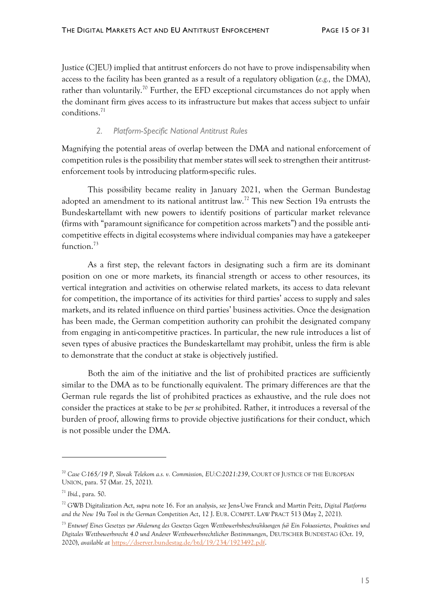Justice (CJEU) implied that antitrust enforcers do not have to prove indispensability when access to the facility has been granted as a result of a regulatory obligation (*e.g.,* the DMA), rather than voluntarily.<sup>70</sup> Further, the EFD exceptional circumstances do not apply when the dominant firm gives access to its infrastructure but makes that access subject to unfair conditions.<sup>71</sup>

## *2. Platform-Specific National Antitrust Rules*

Magnifying the potential areas of overlap between the DMA and national enforcement of competition rules is the possibility that member states will seek to strengthen their antitrustenforcement tools by introducing platform-specific rules.

This possibility became reality in January 2021, when the German Bundestag adopted an amendment to its national antitrust law.<sup>72</sup> This new Section 19a entrusts the Bundeskartellamt with new powers to identify positions of particular market relevance (firms with "paramount significance for competition across markets") and the possible anticompetitive effects in digital ecosystems where individual companies may have a gatekeeper function.<sup>73</sup>

As a first step, the relevant factors in designating such a firm are its dominant position on one or more markets, its financial strength or access to other resources, its vertical integration and activities on otherwise related markets, its access to data relevant for competition, the importance of its activities for third parties' access to supply and sales markets, and its related influence on third parties' business activities. Once the designation has been made, the German competition authority can prohibit the designated company from engaging in anti-competitive practices. In particular, the new rule introduces a list of seven types of abusive practices the Bundeskartellamt may prohibit, unless the firm is able to demonstrate that the conduct at stake is objectively justified.

Both the aim of the initiative and the list of prohibited practices are sufficiently similar to the DMA as to be functionally equivalent. The primary differences are that the German rule regards the list of prohibited practices as exhaustive, and the rule does not consider the practices at stake to be *per se* prohibited. Rather, it introduces a reversal of the burden of proof, allowing firms to provide objective justifications for their conduct, which is not possible under the DMA.

<sup>70</sup> *Case C-165/19 P, Slovak Telekom a.s. v. Commission, EU:C:2021:239*, COURT OF JUSTICE OF THE EUROPEAN UNION, para. 57 (Mar. 25, 2021).

<sup>71</sup> *Ibid.*, para. 50.

<sup>72</sup> GWB Digitalization Act, *supra* note 16. For an analysis, *see* Jens-Uwe Franck and Martin Peitz, *Digital Platforms and the New 19a Tool in the German Competition Act*, 12 J. EUR. COMPET. LAW PRACT 513 (May 2, 2021).

<sup>73</sup> *Entwurf Eines Gesetzes zur Änderung des Gesetzes Gegen Wettbewerbsbeschränkungen für Ein Fokussiertes, Proaktives und Digitales Wettbewerbsrecht 4.0 und Anderer Wettbewerbsrechtlicher Bestimmungen*, DEUTSCHER BUNDESTAG (Oct. 19, 2020), *available at* [https://dserver.bundestag.de/btd/19/234/1923492.pdf.](https://dserver.bundestag.de/btd/19/234/1923492.pdf)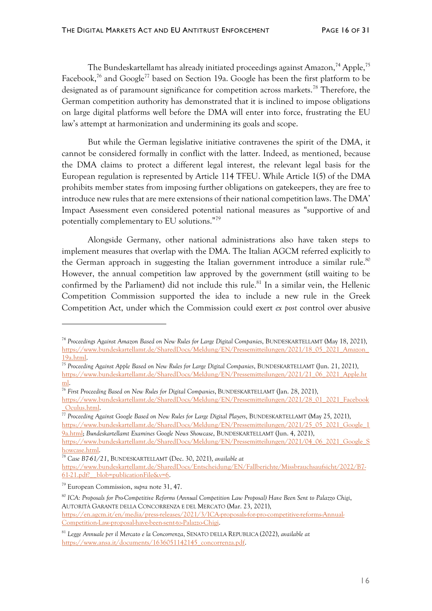The Bundeskartellamt has already initiated proceedings against Amazon,<sup>74</sup> Apple,<sup>75</sup> Facebook,<sup>76</sup> and Google<sup>77</sup> based on Section 19a. Google has been the first platform to be designated as of paramount significance for competition across markets.<sup>78</sup> Therefore, the German competition authority has demonstrated that it is inclined to impose obligations on large digital platforms well before the DMA will enter into force, frustrating the EU law's attempt at harmonization and undermining its goals and scope.

But while the German legislative initiative contravenes the spirit of the DMA, it cannot be considered formally in conflict with the latter. Indeed, as mentioned, because the DMA claims to protect a different legal interest, the relevant legal basis for the European regulation is represented by Article 114 TFEU. While Article 1(5) of the DMA prohibits member states from imposing further obligations on gatekeepers, they are free to introduce new rules that are mere extensions of their national competition laws. The DMA' Impact Assessment even considered potential national measures as "supportive of and potentially complementary to EU solutions."<sup>79</sup>

Alongside Germany, other national administrations also have taken steps to implement measures that overlap with the DMA. The Italian AGCM referred explicitly to the German approach in suggesting the Italian government introduce a similar rule.<sup>80</sup> However, the annual competition law approved by the government (still waiting to be confirmed by the Parliament) did not include this rule. <sup>81</sup> In a similar vein, the Hellenic Competition Commission supported the idea to include a new rule in the Greek Competition Act, under which the Commission could exert *ex post* control over abusive

<sup>77</sup> *Proceeding Against Google Based on New Rules for Large Digital Players*, BUNDESKARTELLAMT (May 25, 2021), [https://www.bundeskartellamt.de/SharedDocs/Meldung/EN/Pressemitteilungen/2021/25\\_05\\_2021\\_Google\\_1](https://www.bundeskartellamt.de/SharedDocs/Meldung/EN/Pressemitteilungen/2021/25_05_2021_Google_19a.html) [9a.html;](https://www.bundeskartellamt.de/SharedDocs/Meldung/EN/Pressemitteilungen/2021/25_05_2021_Google_19a.html) *Bundeskartellamt Examines Google News Showcase*, BUNDESKARTELLAMT (Jun. 4, 2021), [https://www.bundeskartellamt.de/SharedDocs/Meldung/EN/Pressemitteilungen/2021/04\\_06\\_2021\\_Google\\_S](https://www.bundeskartellamt.de/SharedDocs/Meldung/EN/Pressemitteilungen/2021/04_06_2021_Google_Showcase.html) [howcase.html.](https://www.bundeskartellamt.de/SharedDocs/Meldung/EN/Pressemitteilungen/2021/04_06_2021_Google_Showcase.html)

<sup>74</sup> *Proceedings Against Amazon Based on New Rules for Large Digital Companies*, BUNDESKARTELLAMT (May 18, 2021), [https://www.bundeskartellamt.de/SharedDocs/Meldung/EN/Pressemitteilungen/2021/18\\_05\\_2021\\_Amazon\\_](https://www.bundeskartellamt.de/SharedDocs/Meldung/EN/Pressemitteilungen/2021/18_05_2021_Amazon_19a.html) [19a.html.](https://www.bundeskartellamt.de/SharedDocs/Meldung/EN/Pressemitteilungen/2021/18_05_2021_Amazon_19a.html)

<sup>75</sup> *Proceeding Against Apple Based on New Rules for Large Digital Companies*, BUNDESKARTELLAMT (Jun. 21, 2021), [https://www.bundeskartellamt.de/SharedDocs/Meldung/EN/Pressemitteilungen/2021/21\\_06\\_2021\\_Apple.ht](https://www.bundeskartellamt.de/SharedDocs/Meldung/EN/Pressemitteilungen/2021/21_06_2021_Apple.html) [ml.](https://www.bundeskartellamt.de/SharedDocs/Meldung/EN/Pressemitteilungen/2021/21_06_2021_Apple.html)

<sup>76</sup> *First Proceeding Based on New Rules for Digital Companies*, BUNDESKARTELLAMT (Jan. 28, 2021),

[https://www.bundeskartellamt.de/SharedDocs/Meldung/EN/Pressemitteilungen/2021/28\\_01\\_2021\\_Facebook](https://www.bundeskartellamt.de/SharedDocs/Meldung/EN/Pressemitteilungen/2021/28_01_2021_Facebook_Oculus.html) [\\_Oculus.html.](https://www.bundeskartellamt.de/SharedDocs/Meldung/EN/Pressemitteilungen/2021/28_01_2021_Facebook_Oculus.html)

<sup>78</sup> *Case B7-61/21*, BUNDESKARTELLAMT (Dec. 30, 2021), *available at* [https://www.bundeskartellamt.de/SharedDocs/Entscheidung/EN/Fallberichte/Missbrauchsaufsicht/2022/B7-](https://www.bundeskartellamt.de/SharedDocs/Entscheidung/EN/Fallberichte/Missbrauchsaufsicht/2022/B7-61-21.pdf?__blob=publicationFile&v=6) [61-21.pdf?\\_\\_blob=publicationFile&v=6.](https://www.bundeskartellamt.de/SharedDocs/Entscheidung/EN/Fallberichte/Missbrauchsaufsicht/2022/B7-61-21.pdf?__blob=publicationFile&v=6)

<sup>79</sup> European Commission, *supra* note 31, 47.

<sup>80</sup> *ICA: Proposals for Pro-Competitive Reforms (Annual Competition Law Proposal) Have Been Sent to Palazzo Chigi*, AUTORITÀ GARANTE DELLA CONCORRENZA E DEL MERCATO (Mar. 23, 2021), [https://en.agcm.it/en/media/press-releases/2021/3/ICA-proposals-for-pro-competitive-reforms-Annual-](https://en.agcm.it/en/media/press-releases/2021/3/ICA-proposals-for-pro-competitive-reforms-Annual-Competition-Law-proposal-have-been-sent-to-Palazzo-Chigi)[Competition-Law-proposal-have-been-sent-to-Palazzo-Chigi.](https://en.agcm.it/en/media/press-releases/2021/3/ICA-proposals-for-pro-competitive-reforms-Annual-Competition-Law-proposal-have-been-sent-to-Palazzo-Chigi) 

<sup>81</sup> *Legge Annuale per il Mercato e la Concorrenza*, SENATO DELLA REPUBLICA (2022), *available at* [https://www.ansa.it/documents/1636051142145\\_concorrenza.pdf.](https://www.ansa.it/documents/1636051142145_concorrenza.pdf)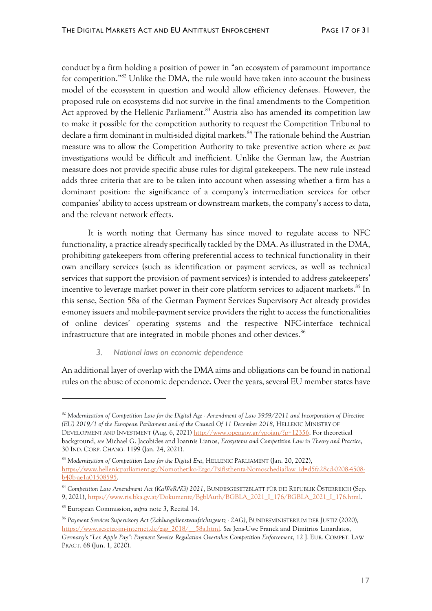conduct by a firm holding a position of power in "an ecosystem of paramount importance for competition."<sup>82</sup> Unlike the DMA, the rule would have taken into account the business model of the ecosystem in question and would allow efficiency defenses. However, the proposed rule on ecosystems did not survive in the final amendments to the Competition Act approved by the Hellenic Parliament.<sup>83</sup> Austria also has amended its competition law to make it possible for the competition authority to request the Competition Tribunal to declare a firm dominant in multi-sided digital markets.<sup>84</sup> The rationale behind the Austrian measure was to allow the Competition Authority to take preventive action where *ex post*  investigations would be difficult and inefficient. Unlike the German law, the Austrian measure does not provide specific abuse rules for digital gatekeepers. The new rule instead adds three criteria that are to be taken into account when assessing whether a firm has a dominant position: the significance of a company's intermediation services for other companies' ability to access upstream or downstream markets, the company's access to data, and the relevant network effects.

It is worth noting that Germany has since moved to regulate access to NFC functionality, a practice already specifically tackled by the DMA. As illustrated in the DMA, prohibiting gatekeepers from offering preferential access to technical functionality in their own ancillary services (such as identification or payment services, as well as technical services that support the provision of payment services) is intended to address gatekeepers' incentive to leverage market power in their core platform services to adjacent markets. <sup>85</sup> In this sense, Section 58a of the German Payment Services Supervisory Act already provides e-money issuers and mobile-payment service providers the right to access the functionalities of online devices' operating systems and the respective NFC-interface technical infrastructure that are integrated in mobile phones and other devices.<sup>86</sup>

#### *3. National laws on economic dependence*

An additional layer of overlap with the DMA aims and obligations can be found in national rules on the abuse of economic dependence. Over the years, several EU member states have

<sup>82</sup> *Modernization of Competition Law for the Digital Age - Amendment of Law 3959/2011 and Incorporation of Directive (EU) 2019/1 of the European Parliament and of the Council Of 11 December 2018*, HELLENIC MINISTRY OF DEVELOPMENT AND INVESTMENT (Aug. 6, 2021) [http://www.opengov.gr/ypoian/?p=12356.](http://www.opengov.gr/ypoian/?p=12356) For theoretical background, *see* Michael G. Jacobides and Ioannis Lianos, *Ecosystems and Competition Law in Theory and Practice*, 30 IND. CORP. CHANG. 1199 (Jan. 24, 2021).

<sup>83</sup> *Modernization of Competition Law for the Digital Era*, HELLENIC PARLIAMENT (Jan. 20, 2022), [https://www.hellenicparliament.gr/Nomothetiko-Ergo/Psifisthenta-Nomoschedia?law\\_id=d5fa28cd-0208-4508](https://www.hellenicparliament.gr/Nomothetiko-Ergo/Psifisthenta-Nomoschedia?law_id=d5fa28cd-0208-4508-b40b-ae1a01508595) [b40b-ae1a01508595.](https://www.hellenicparliament.gr/Nomothetiko-Ergo/Psifisthenta-Nomoschedia?law_id=d5fa28cd-0208-4508-b40b-ae1a01508595)

<sup>84</sup> *Competition Law Amendment Act (KaWeRÄG) 2021*, BUNDESGESETZBLATT FÜR DIE REPUBLIK ÖSTERREICH (Sep. 9, 2021), [https://www.ris.bka.gv.at/Dokumente/BgblAuth/BGBLA\\_2021\\_I\\_176/BGBLA\\_2021\\_I\\_176.html.](https://www.ris.bka.gv.at/Dokumente/BgblAuth/BGBLA_2021_I_176/BGBLA_2021_I_176.html)

<sup>85</sup> European Commission, *supra* note 3, Recital 14.

<sup>86</sup> *Payment Services Supervisory Act (Zahlungsdiensteaufsichtsgesetz - ZAG)*, BUNDESMINISTERIUM DER JUSTIZ (2020), [https://www.gesetze-im-internet.de/zag\\_2018/\\_\\_58a.html.](https://www.gesetze-im-internet.de/zag_2018/__58a.html) *See* Jens-Uwe Franck and Dimitrios Linardatos, *Germany's "Lex Apple Pay": Payment Service Regulation Overtakes Competition Enforcement*, 12 J. EUR. COMPET. LAW PRACT. 68 (Jun. 1, 2020).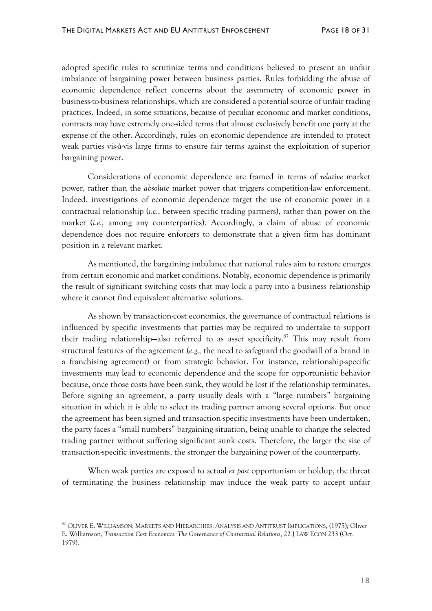adopted specific rules to scrutinize terms and conditions believed to present an unfair imbalance of bargaining power between business parties. Rules forbidding the abuse of economic dependence reflect concerns about the asymmetry of economic power in business-to-business relationships, which are considered a potential source of unfair trading practices. Indeed, in some situations, because of peculiar economic and market conditions, contracts may have extremely one-sided terms that almost exclusively benefit one party at the expense of the other. Accordingly, rules on economic dependence are intended to protect weak parties vis-à-vis large firms to ensure fair terms against the exploitation of superior bargaining power.

Considerations of economic dependence are framed in terms of *relative* market power, rather than the *absolute* market power that triggers competition-law enforcement. Indeed, investigations of economic dependence target the use of economic power in a contractual relationship (*i.e.*, between specific trading partners), rather than power on the market (*i.e.,* among any counterparties). Accordingly, a claim of abuse of economic dependence does not require enforcers to demonstrate that a given firm has dominant position in a relevant market.

As mentioned, the bargaining imbalance that national rules aim to restore emerges from certain economic and market conditions. Notably, economic dependence is primarily the result of significant switching costs that may lock a party into a business relationship where it cannot find equivalent alternative solutions.

As shown by transaction-cost economics, the governance of contractual relations is influenced by specific investments that parties may be required to undertake to support their trading relationship—also referred to as asset specificity.<sup>87</sup> This may result from structural features of the agreement (*e.g.,* the need to safeguard the goodwill of a brand in a franchising agreement) or from strategic behavior. For instance, relationship-specific investments may lead to economic dependence and the scope for opportunistic behavior because, once those costs have been sunk, they would be lost if the relationship terminates. Before signing an agreement, a party usually deals with a "large numbers" bargaining situation in which it is able to select its trading partner among several options. But once the agreement has been signed and transaction-specific investments have been undertaken, the party faces a "small numbers" bargaining situation, being unable to change the selected trading partner without suffering significant sunk costs. Therefore, the larger the size of transaction-specific investments, the stronger the bargaining power of the counterparty.

When weak parties are exposed to actual *ex post* opportunism or holdup, the threat of terminating the business relationship may induce the weak party to accept unfair

<sup>87</sup> OLIVER E. WILLIAMSON, MARKETS AND HIERARCHIES: ANALYSIS AND ANTITRUST IMPLICATIONS, (1975); Oliver E. Williamson, *Transaction Cost Economics: The Governance of Contractual Relations*, 22 J LAW ECON 233 (Oct. 1979).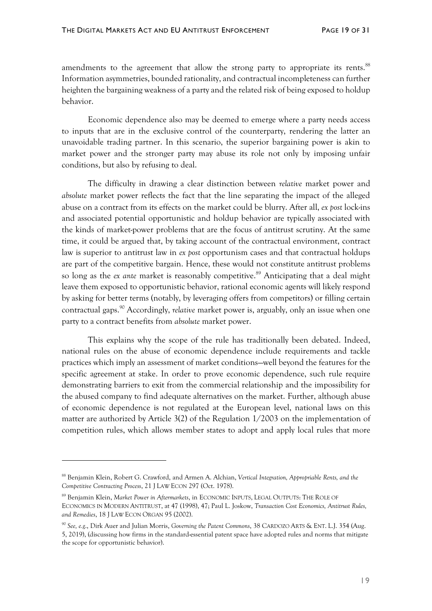amendments to the agreement that allow the strong party to appropriate its rents.<sup>88</sup> Information asymmetries, bounded rationality, and contractual incompleteness can further heighten the bargaining weakness of a party and the related risk of being exposed to holdup behavior.

Economic dependence also may be deemed to emerge where a party needs access to inputs that are in the exclusive control of the counterparty, rendering the latter an unavoidable trading partner. In this scenario, the superior bargaining power is akin to market power and the stronger party may abuse its role not only by imposing unfair conditions, but also by refusing to deal.

The difficulty in drawing a clear distinction between *relative* market power and *absolute* market power reflects the fact that the line separating the impact of the alleged abuse on a contract from its effects on the market could be blurry. After all, *ex post* lock-ins and associated potential opportunistic and holdup behavior are typically associated with the kinds of market-power problems that are the focus of antitrust scrutiny. At the same time, it could be argued that, by taking account of the contractual environment, contract law is superior to antitrust law in *ex post* opportunism cases and that contractual holdups are part of the competitive bargain. Hence, these would not constitute antitrust problems so long as the *ex ante* market is reasonably competitive. <sup>89</sup> Anticipating that a deal might leave them exposed to opportunistic behavior, rational economic agents will likely respond by asking for better terms (notably, by leveraging offers from competitors) or filling certain contractual gaps.<sup>90</sup> Accordingly, *relative* market power is, arguably, only an issue when one party to a contract benefits from *absolute* market power.

This explains why the scope of the rule has traditionally been debated. Indeed, national rules on the abuse of economic dependence include requirements and tackle practices which imply an assessment of market conditions—well beyond the features for the specific agreement at stake. In order to prove economic dependence, such rule require demonstrating barriers to exit from the commercial relationship and the impossibility for the abused company to find adequate alternatives on the market. Further, although abuse of economic dependence is not regulated at the European level, national laws on this matter are authorized by Article 3(2) of the Regulation 1/2003 on the implementation of competition rules, which allows member states to adopt and apply local rules that more

<sup>88</sup> Benjamin Klein, Robert G. Crawford, and Armen A. Alchian, *Vertical Integration, Appropriable Rents, and the Competitive Contracting Process*, 21 J LAW ECON 297 (Oct. 1978).

<sup>89</sup> Benjamin Klein, *Market Power in Aftermarkets*, in ECONOMIC INPUTS, LEGAL OUTPUTS: THE ROLE OF ECONOMICS IN MODERN ANTITRUST, at 47 (1998), 47; Paul L. Joskow, *Transaction Cost Economics, Antitrust Rules, and Remedies*, 18 J LAW ECON ORGAN 95 (2002).

<sup>90</sup> *See, e.g*., Dirk Auer and Julian Morris, *Governing the Patent Commons*, 38 CARDOZO ARTS & ENT. L.J. 354 (Aug. 5, 2019), (discussing how firms in the standard-essential patent space have adopted rules and norms that mitigate the scope for opportunistic behavior).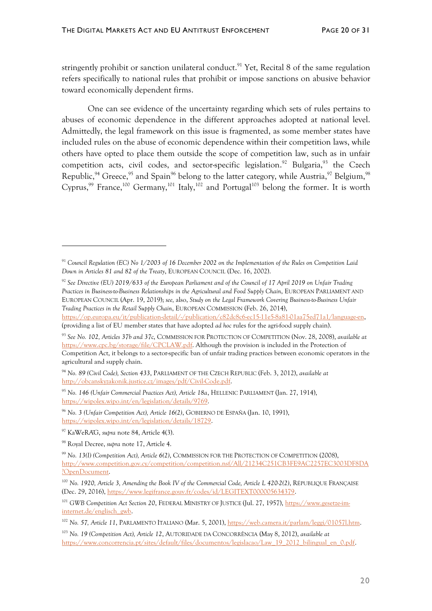stringently prohibit or sanction unilateral conduct.<sup>91</sup> Yet, Recital 8 of the same regulation refers specifically to national rules that prohibit or impose sanctions on abusive behavior toward economically dependent firms.

One can see evidence of the uncertainty regarding which sets of rules pertains to abuses of economic dependence in the different approaches adopted at national level. Admittedly, the legal framework on this issue is fragmented, as some member states have included rules on the abuse of economic dependence within their competition laws, while others have opted to place them outside the scope of competition law, such as in unfair competition acts, civil codes, and sector-specific legislation.<sup>92</sup> Bulgaria,<sup>93</sup> the Czech Republic,<sup>94</sup> Greece,<sup>95</sup> and Spain<sup>96</sup> belong to the latter category, while Austria,<sup>97</sup> Belgium,<sup>98</sup> Cyprus,<sup>99</sup> France,<sup>100</sup> Germany,<sup>101</sup> Italy,<sup>102</sup> and Portugal<sup>103</sup> belong the former. It is worth

<sup>91</sup> *Council Regulation (EC) No 1/2003 of 16 December 2002 on the Implementation of the Rules on Competition Laid Down in Articles 81 and 82 of the Treaty*, EUROPEAN COUNCIL (Dec. 16, 2002).

<sup>92</sup> *See Directive (EU) 2019/633 of the European Parliament and of the Council of 17 April 2019 on Unfair Trading Practices in Business-to-Business Relationships in the Agricultural and Food Supply Chain*, EUROPEAN PARLIAMENT AND EUROPEAN COUNCIL (Apr. 19, 2019); *see,* also, *Study on the Legal Framework Covering Business-to-Business Unfair Trading Practices in the Retail Supply Chain*, EUROPEAN COMMISSION (Feb. 26, 2014),

[https://op.europa.eu/it/publication-detail/-/publication/c82dc8c6-ec15-11e5-8a81-01aa75ed71a1/language-en,](https://op.europa.eu/it/publication-detail/-/publication/c82dc8c6-ec15-11e5-8a81-01aa75ed71a1/language-en)  (providing a list of EU member states that have adopted *ad hoc* rules for the agri-food supply chain).

<sup>93</sup> *See No. 102, Articles 37b and 37c*, COMMISSION FOR PROTECTION OF COMPETITION (Nov. 28, 2008), *available at*  [https://www.cpc.bg/storage/file/CPCLAW.pdf.](https://www.cpc.bg/storage/file/CPCLAW.pdf) Although the provision is included in the Protection of Competition Act, it belongs to a sector-specific ban of unfair trading practices between economic operators in the agricultural and supply chain.

<sup>94</sup> *No. 89 (Civil Code), Section 433*, PARLIAMENT OF THE CZECH REPUBLIC (Feb. 3, 2012), *available at* [http://obcanskyzakonik.justice.cz/images/pdf/Civil-Code.pdf.](http://obcanskyzakonik.justice.cz/images/pdf/Civil-Code.pdf)

<sup>95</sup> *No. 146 (Unfair Commercial Practices Act), Article 18a*, HELLENIC PARLIAMENT (Jan. 27, 1914), [https://wipolex.wipo.int/en/legislation/details/9769.](https://wipolex.wipo.int/en/legislation/details/9769)

<sup>96</sup> *No. 3 (Unfair Competition Act), Article 16(2)*, GOBIERNO DE ESPAÑA (Jan. 10, 1991), [https://wipolex.wipo.int/en/legislation/details/18729.](https://wipolex.wipo.int/en/legislation/details/18729)

<sup>97</sup> KaWeRÄG, *supra* note 84, Article 4(3).

<sup>98</sup> Royal Decree, *supra* note 17, Article 4.

<sup>99</sup> *No. 13(I) (Competition Act), Article 6(2)*, COMMISSION FOR THE PROTECTION OF COMPETITION (2008), [http://www.competition.gov.cy/competition/competition.nsf/All/21234C251CB3FE9AC2257EC3003DF8DA](http://www.competition.gov.cy/competition/competition.nsf/All/21234C251CB3FE9AC2257EC3003DF8DA?OpenDocument) [?OpenDocument.](http://www.competition.gov.cy/competition/competition.nsf/All/21234C251CB3FE9AC2257EC3003DF8DA?OpenDocument)

<sup>&</sup>lt;sup>100</sup> *No.* 1920, Article 3, Amending the Book IV of the Commercial Code, Article L 420-2(2), RÉPUBLIQUE FRANCAISE (Dec. 29, 2016), [https://www.legifrance.gouv.fr/codes/id/LEGITEXT000005634379.](https://www.legifrance.gouv.fr/codes/id/LEGITEXT000005634379/)

<sup>&</sup>lt;sup>101</sup> *GWB Competition Act Section 20, FEDERAL MINISTRY OF JUSTICE (Jul. 27, 1957), [https://www.gesetze-im](https://www.gesetze-im-internet.de/englisch_gwb)*[internet.de/englisch\\_gwb.](https://www.gesetze-im-internet.de/englisch_gwb)

<sup>&</sup>lt;sup>102</sup> No. 57, Article 11, PARLAMENTO ITALIANO (Mar. 5, 2001), https://web.camera.it/parlam/leggi/01057l.htm.

<sup>103</sup> *No. 19 (Competition Act), Article 12*, AUTORIDADE DA CONCORRÊNCIA (May 8, 2012), *available at* [https://www.concorrencia.pt/sites/default/files/documentos/legislacao/Law\\_19\\_2012\\_bilingual\\_en\\_0.pdf.](https://www.concorrencia.pt/sites/default/files/documentos/legislacao/Law_19_2012_bilingual_en_0.pdf)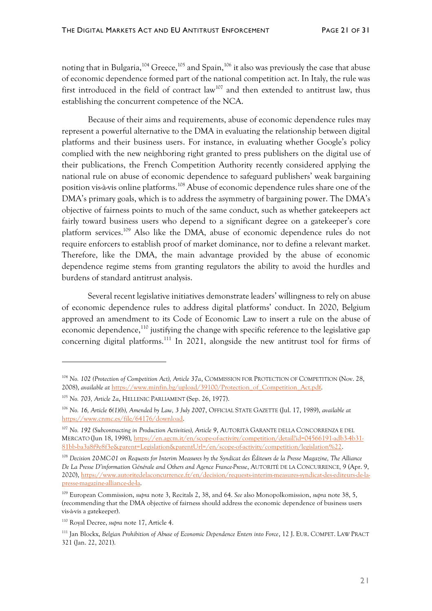noting that in Bulgaria,<sup>104</sup> Greece,<sup>105</sup> and Spain,<sup>106</sup> it also was previously the case that abuse of economic dependence formed part of the national competition act. In Italy, the rule was first introduced in the field of contract law<sup>107</sup> and then extended to antitrust law, thus establishing the concurrent competence of the NCA.

Because of their aims and requirements, abuse of economic dependence rules may represent a powerful alternative to the DMA in evaluating the relationship between digital platforms and their business users. For instance, in evaluating whether Google's policy complied with the new neighboring right granted to press publishers on the digital use of their publications, the French Competition Authority recently considered applying the national rule on abuse of economic dependence to safeguard publishers' weak bargaining position vis-à-vis online platforms.<sup>108</sup> Abuse of economic dependence rules share one of the DMA's primary goals, which is to address the asymmetry of bargaining power. The DMA's objective of fairness points to much of the same conduct, such as whether gatekeepers act fairly toward business users who depend to a significant degree on a gatekeeper's core platform services.<sup>109</sup> Also like the DMA, abuse of economic dependence rules do not require enforcers to establish proof of market dominance, nor to define a relevant market. Therefore, like the DMA, the main advantage provided by the abuse of economic dependence regime stems from granting regulators the ability to avoid the hurdles and burdens of standard antitrust analysis.

Several recent legislative initiatives demonstrate leaders' willingness to rely on abuse of economic dependence rules to address digital platforms' conduct. In 2020, Belgium approved an amendment to its Code of Economic Law to insert a rule on the abuse of economic dependence,<sup>110</sup> justifying the change with specific reference to the legislative gap concerning digital platforms.<sup>111</sup> In 2021, alongside the new antitrust tool for firms of

<sup>104</sup> *No. 102 (Protection of Competition Act), Article 37a*, COMMISSION FOR PROTECTION OF COMPETITION (Nov. 28, 2008), *available at* [https://www.minfin.bg/upload/39100/Protection\\_of\\_Competition\\_Act.pdf.](https://www.minfin.bg/upload/39100/Protection_of_Competition_Act.pdf)

<sup>105</sup> *No. 703, Article 2a*, HELLENIC PARLIAMENT (Sep. 26, 1977).

<sup>106</sup> *No. 16, Article 6(1)(b), Amended by Law, 3 July 2007*, OFFICIAL STATE GAZETTE (Jul. 17, 1989), *available at* [https://www.cnmc.es/file/64176/download.](https://www.cnmc.es/file/64176/download)

<sup>107</sup> *No. 192 (Subcontracting in Production Activities), Article 9*, AUTORITÀ GARANTE DELLA CONCORRENZA E DEL MERCATO (Jun 18, 1998), [https://en.agcm.it/en/scope-of-activity/competition/detail?id=04566191-adb3-4b31-](https://en.agcm.it/en/scope-of-activity/competition/detail?id=04566191-adb3-4b31-81bb-ba3a8f9e8f3e&parent=Legislation&parentUrl=/en/scope-of-activity/competition/legislation%22) [81bb-ba3a8f9e8f3e&parent=Legislation&parentUrl=/en/scope-of-activity/competition/legislation%22.](https://en.agcm.it/en/scope-of-activity/competition/detail?id=04566191-adb3-4b31-81bb-ba3a8f9e8f3e&parent=Legislation&parentUrl=/en/scope-of-activity/competition/legislation%22)

<sup>&</sup>lt;sup>108</sup> Decision 20-MC-01 on Requests for Interim Measures by the Syndicat des Éditeurs de la Presse Magazine, The Alliance *De La Presse D'information Générale and Others and Agence France-Presse*, AUTORITÉ DE LA CONCURRENCE*,* 9 (Apr. 9, 2020)[, https://www.autoritedelaconcurrence.fr/en/decision/requests-interim-measures-syndicat-des-editeurs-de-la](https://www.autoritedelaconcurrence.fr/en/decision/requests-interim-measures-syndicat-des-editeurs-de-la-presse-magazine-alliance-de-la)[presse-magazine-alliance-de-la.](https://www.autoritedelaconcurrence.fr/en/decision/requests-interim-measures-syndicat-des-editeurs-de-la-presse-magazine-alliance-de-la)

<sup>109</sup> European Commission, *supra* note 3, Recitals 2, 38, and 64. *See* also Monopolkomission, *supra* note 38, 5, (recommending that the DMA objective of fairness should address the economic dependence of business users vis-à-vis a gatekeeper).

<sup>110</sup> Royal Decree, *supra* note 17, Article 4.

<sup>111</sup> Jan Blockx, *Belgian Prohibition of Abuse of Economic Dependence Enters into Force*, 12 J. EUR. COMPET. LAW PRACT 321 (Jan. 22, 2021).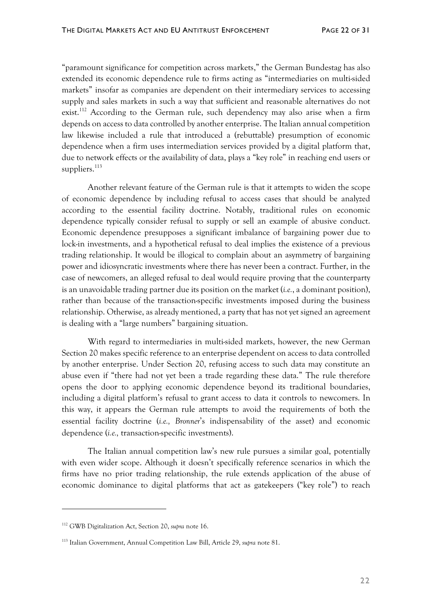"paramount significance for competition across markets," the German Bundestag has also extended its economic dependence rule to firms acting as "intermediaries on multi-sided markets" insofar as companies are dependent on their intermediary services to accessing supply and sales markets in such a way that sufficient and reasonable alternatives do not exist.<sup>112</sup> According to the German rule, such dependency may also arise when a firm depends on access to data controlled by another enterprise. The Italian annual competition law likewise included a rule that introduced a (rebuttable) presumption of economic dependence when a firm uses intermediation services provided by a digital platform that, due to network effects or the availability of data, plays a "key role" in reaching end users or suppliers. 113

Another relevant feature of the German rule is that it attempts to widen the scope of economic dependence by including refusal to access cases that should be analyzed according to the essential facility doctrine. Notably, traditional rules on economic dependence typically consider refusal to supply or sell an example of abusive conduct. Economic dependence presupposes a significant imbalance of bargaining power due to lock-in investments, and a hypothetical refusal to deal implies the existence of a previous trading relationship. It would be illogical to complain about an asymmetry of bargaining power and idiosyncratic investments where there has never been a contract. Further, in the case of newcomers, an alleged refusal to deal would require proving that the counterparty is an unavoidable trading partner due its position on the market (*i.e.*, a dominant position), rather than because of the transaction-specific investments imposed during the business relationship. Otherwise, as already mentioned, a party that has not yet signed an agreement is dealing with a "large numbers" bargaining situation.

With regard to intermediaries in multi-sided markets, however, the new German Section 20 makes specific reference to an enterprise dependent on access to data controlled by another enterprise. Under Section 20, refusing access to such data may constitute an abuse even if "there had not yet been a trade regarding these data." The rule therefore opens the door to applying economic dependence beyond its traditional boundaries, including a digital platform's refusal to grant access to data it controls to newcomers. In this way, it appears the German rule attempts to avoid the requirements of both the essential facility doctrine (*i.e., Bronner*'s indispensability of the asset) and economic dependence (*i.e.,* transaction-specific investments).

The Italian annual competition law's new rule pursues a similar goal, potentially with even wider scope. Although it doesn't specifically reference scenarios in which the firms have no prior trading relationship, the rule extends application of the abuse of economic dominance to digital platforms that act as gatekeepers ("key role") to reach

<sup>112</sup> GWB Digitalization Act, Section 20, *supra* note 16.

<sup>113</sup> Italian Government, Annual Competition Law Bill, Article 29, *supra* note 81.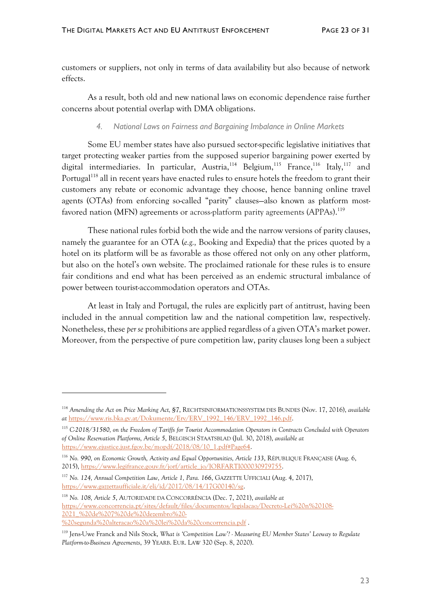customers or suppliers, not only in terms of data availability but also because of network effects.

As a result, both old and new national laws on economic dependence raise further concerns about potential overlap with DMA obligations.

#### *4. National Laws on Fairness and Bargaining Imbalance in Online Markets*

Some EU member states have also pursued sector-specific legislative initiatives that target protecting weaker parties from the supposed superior bargaining power exerted by digital intermediaries. In particular, Austria,<sup>114</sup> Belgium,<sup>115</sup> France,<sup>116</sup> Italy,<sup>117</sup> and Portugal<sup>118</sup> all in recent years have enacted rules to ensure hotels the freedom to grant their customers any rebate or economic advantage they choose, hence banning online travel agents (OTAs) from enforcing so-called "parity" clauses—also known as platform mostfavored nation (MFN) agreements or across-platform parity agreements (APPAs).<sup>119</sup>

These national rules forbid both the wide and the narrow versions of parity clauses, namely the guarantee for an OTA (*e.g.,* Booking and Expedia) that the prices quoted by a hotel on its platform will be as favorable as those offered not only on any other platform, but also on the hotel's own website. The proclaimed rationale for these rules is to ensure fair conditions and end what has been perceived as an endemic structural imbalance of power between tourist-accommodation operators and OTAs.

At least in Italy and Portugal, the rules are explicitly part of antitrust, having been included in the annual competition law and the national competition law, respectively. Nonetheless, these *per se* prohibitions are applied regardless of a given OTA's market power. Moreover, from the perspective of pure competition law, parity clauses long been a subject

<sup>118</sup> *No. 108, Article 5*, AUTORIDADE DA CONCORRÊNCIA (Dec. 7, 2021), *available at* [https://www.concorrencia.pt/sites/default/files/documentos/legislacao/Decreto-Lei%20n%20108-](https://www.concorrencia.pt/sites/default/files/documentos/legislacao/Decreto-Lei%20n%20108-2021_%20de%207%20de%20dezembro%20-%20segunda%20alteracao%20a%20lei%20da%20concorrencia.pdf) [2021\\_%20de%207%20de%20dezembro%20-](https://www.concorrencia.pt/sites/default/files/documentos/legislacao/Decreto-Lei%20n%20108-2021_%20de%207%20de%20dezembro%20-%20segunda%20alteracao%20a%20lei%20da%20concorrencia.pdf) [%20segunda%20alteracao%20a%20lei%20da%20concorrencia.pdf](https://www.concorrencia.pt/sites/default/files/documentos/legislacao/Decreto-Lei%20n%20108-2021_%20de%207%20de%20dezembro%20-%20segunda%20alteracao%20a%20lei%20da%20concorrencia.pdf) .

<sup>114</sup> *Amending the Act on Price Marking Act, §7*, RECHTSINFORMATIONSSYSTEM DES BUNDES (Nov. 17, 2016), *available at* [https://www.ris.bka.gv.at/Dokumente/Erv/ERV\\_1992\\_146/ERV\\_1992\\_146.pdf.](https://www.ris.bka.gv.at/Dokumente/Erv/ERV_1992_146/ERV_1992_146.pdf)

<sup>115</sup> *C-2018/31580, on the Freedom of Tariffs for Tourist Accommodation Operators in Contracts Concluded with Operators of Online Reservation Platforms, Article 5*, BELGISCH STAATSBLAD (Jul. 30, 2018), *available at* [https://www.ejustice.just.fgov.be/mopdf/2018/08/10\\_1.pdf#Page64.](https://www.ejustice.just.fgov.be/mopdf/2018/08/10_1.pdf#Page64)

<sup>116</sup> *No. 990, on Economic Growth, Activity and Equal Opportunities, Article 133*, RÉPUBLIQUE FRANÇAISE (Aug. 6, 2015), [https://www.legifrance.gouv.fr/jorf/article\\_jo/JORFARTI000030979755.](https://www.legifrance.gouv.fr/jorf/article_jo/JORFARTI000030979755)

<sup>117</sup> *No. 124, Annual Competition Law, Article 1, Para. 166*, GAZZETTE UFFICIALI (Aug. 4, 2017), [https://www.gazzettaufficiale.it/eli/id/2017/08/14/17G00140/sg.](https://www.gazzettaufficiale.it/eli/id/2017/08/14/17G00140/sg)

<sup>119</sup> Jens-Uwe Franck and Nils Stock, *What is 'Competition Law'? - Measuring EU Member States' Leeway to Regulate Platform-to-Business Agreements*, 39 YEARB. EUR. LAW 320 (Sep. 8, 2020).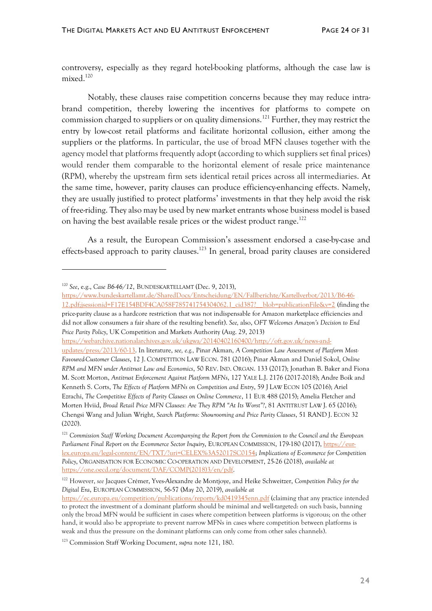controversy, especially as they regard hotel-booking platforms, although the case law is mixed. 120

Notably, these clauses raise competition concerns because they may reduce intrabrand competition, thereby lowering the incentives for platforms to compete on commission charged to suppliers or on quality dimensions.<sup>121</sup> Further, they may restrict the entry by low-cost retail platforms and facilitate horizontal collusion, either among the suppliers or the platforms. In particular, the use of broad MFN clauses together with the agency model that platforms frequently adopt (according to which suppliers set final prices) would render them comparable to the horizontal element of resale price maintenance (RPM), whereby the upstream firm sets identical retail prices across all intermediaries. At the same time, however, parity clauses can produce efficiency-enhancing effects. Namely, they are usually justified to protect platforms' investments in that they help avoid the risk of free-riding. They also may be used by new market entrants whose business model is based on having the best available resale prices or the widest product range.<sup>122</sup>

As a result, the European Commission's assessment endorsed a case-by-case and effects-based approach to parity clauses.<sup>123</sup> In general, broad parity clauses are considered

[https://webarchive.nationalarchives.gov.uk/ukgwa/20140402160400/http://oft.gov.uk/news-and-](https://webarchive.nationalarchives.gov.uk/ukgwa/20140402160400/http:/oft.gov.uk/news-and-updates/press/2013/60-13)

<sup>120</sup> *See*, e.g., *Case B6-46/12*, BUNDESKARTELLAMT (Dec. 9, 2013),

[https://www.bundeskartellamt.de/SharedDocs/Entscheidung/EN/Fallberichte/Kartellverbot/2013/B6-46-](https://www.bundeskartellamt.de/SharedDocs/Entscheidung/EN/Fallberichte/Kartellverbot/2013/B6-46-12.pdf;jsessionid=F17E154BDF4CA058F785741754304062.1_cid387?__blob=publicationFile&v=2) [12.pdf;jsessionid=F17E154BDF4CA058F785741754304062.1\\_cid387?\\_\\_blob=publicationFile&v=2](https://www.bundeskartellamt.de/SharedDocs/Entscheidung/EN/Fallberichte/Kartellverbot/2013/B6-46-12.pdf;jsessionid=F17E154BDF4CA058F785741754304062.1_cid387?__blob=publicationFile&v=2) (finding the price-parity clause as a hardcore restriction that was not indispensable for Amazon marketplace efficiencies and did not allow consumers a fair share of the resulting benefit). *See,* also, *OFT Welcomes Amazon's Decision to End Price Parity Policy*, UK Competition and Markets Authority (Aug. 29, 2013)

[updates/press/2013/60-13.](https://webarchive.nationalarchives.gov.uk/ukgwa/20140402160400/http:/oft.gov.uk/news-and-updates/press/2013/60-13) In literature, *see, e.g.,* Pinar Akman, *A Competition Law Assessment of Platform Most-Favoured-Customer Clauses*, 12 J. COMPETITION LAW ECON. 781 (2016); Pinar Akman and Daniel Sokol, *Online RPM and MFN under Antitrust Law and Economics*, 50 REV. IND. ORGAN. 133 (2017); Jonathan B. Baker and Fiona M. Scott Morton, *Antitrust Enforcement Against Platform MFNs*, 127 YALE L.J. 2176 (2017-2018); Andre Boik and Kenneth S. Corts, *The Effects of Platform MFNs on Competition and Entry*, 59 J LAW ECON 105 (2016); Ariel Ezrachi, *The Competitive Effects of Parity Clauses on Online Commerce*, 11 EUR 488 (2015); Amelia Fletcher and Morten Hviid, *Broad Retail Price MFN Clauses: Are They RPM "At Its Worst"?*, 81 ANTITRUST LAW J. 65 (2016); Chengsi Wang and Julian Wright, *Search Platforms: Showrooming and Price Parity Clauses*, 51 RAND J. ECON 32 (2020).

<sup>121</sup> *Commission Staff Working Document Accompanying the Report from the Commission to the Council and the European*  Parliament Final Report on the E-commerce Sector Inquiry, EUROPEAN COMMISSION, 179-180 (2017), [https://eur](https://eur-lex.europa.eu/legal-content/EN/TXT/?uri=CELEX%3A52017SC0154)[lex.europa.eu/legal-content/EN/TXT/?uri=CELEX%3A52017SC0154;](https://eur-lex.europa.eu/legal-content/EN/TXT/?uri=CELEX%3A52017SC0154) *Implications of E-commerce for Competition Policy*, ORGANISATION FOR ECONOMIC CO-OPERATION AND DEVELOPMENT, 25-26 (2018), *available at* [https://one.oecd.org/document/DAF/COMP\(2018\)3/en/pdf.](https://one.oecd.org/document/DAF/COMP(2018)3/en/pdf)

<sup>122</sup> However, *see* Jacques Crémer, Yves-Alexandre de Montjoye, and Heike Schweitzer, *Competition Policy for the Digital Era*, EUROPEAN COMMISSION, 56-57 (May 20, 2019), *available at*

<https://ec.europa.eu/competition/publications/reports/kd0419345enn.pdf> (claiming that any practice intended to protect the investment of a dominant platform should be minimal and well-targeted: on such basis, banning only the broad MFN would be sufficient in cases where competition between platforms is vigorous; on the other hand, it would also be appropriate to prevent narrow MFNs in cases where competition between platforms is weak and thus the pressure on the dominant platforms can only come from other sales channels).

<sup>123</sup> Commission Staff Working Document, *supra* note 121, 180.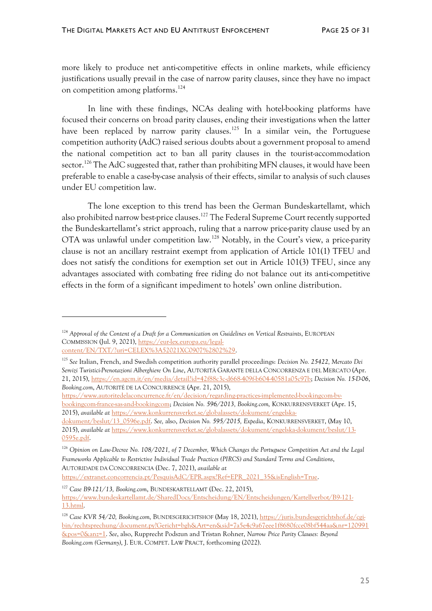more likely to produce net anti-competitive effects in online markets, while efficiency justifications usually prevail in the case of narrow parity clauses, since they have no impact on competition among platforms. 124

In line with these findings, NCAs dealing with hotel-booking platforms have focused their concerns on broad parity clauses, ending their investigations when the latter have been replaced by narrow parity clauses.<sup>125</sup> In a similar vein, the Portuguese competition authority (AdC) raised serious doubts about a government proposal to amend the national competition act to ban all parity clauses in the tourist-accommodation sector.<sup>126</sup> The AdC suggested that, rather than prohibiting MFN clauses, it would have been preferable to enable a case-by-case analysis of their effects, similar to analysis of such clauses under EU competition law.

The lone exception to this trend has been the German Bundeskartellamt, which also prohibited narrow best-price clauses.<sup>127</sup> The Federal Supreme Court recently supported the Bundeskartellamt's strict approach, ruling that a narrow price-parity clause used by an OTA was unlawful under competition law.<sup>128</sup> Notably, in the Court's view, a price-parity clause is not an ancillary restraint exempt from application of Article 101(1) TFEU and does not satisfy the conditions for exemption set out in Article 101(3) TFEU, since any advantages associated with combating free riding do not balance out its anti-competitive effects in the form of a significant impediment to hotels' own online distribution.

[https://extranet.concorrencia.pt/PesquisAdC/EPR.aspx?Ref=EPR\\_2021\\_35&isEnglish=True.](https://extranet.concorrencia.pt/PesquisAdC/EPR.aspx?Ref=EPR_2021_35&isEnglish=True)

<sup>124</sup> *Approval of the Content of a Draft for a Communication on Guidelines on Vertical Restraints*, EUROPEAN COMMISSION (Jul. 9, 2021), [https://eur-lex.europa.eu/legal](https://eur-lex.europa.eu/legal-content/EN/TXT/?uri=CELEX%3A52021XC0907%2802%29)[content/EN/TXT/?uri=CELEX%3A52021XC0907%2802%29.](https://eur-lex.europa.eu/legal-content/EN/TXT/?uri=CELEX%3A52021XC0907%2802%29)

<sup>125</sup> *See* Italian, French, and Swedish competition authority parallel proceedings: *Decision No. 25422, Mercato Dei Servizi Turistici-Prenotazioni Alberghiere On Line*, AUTORITÀ GARANTE DELLA CONCORRENZA E DEL MERCATO (Apr. 21, 2015), [https://en.agcm.it/en/media/detail?id=42f88c3c-d668-409f-b604-40581a05c97b;](https://en.agcm.it/en/media/detail?id=42f88c3c-d668-409f-b604-40581a05c97b) *Decision No. 15-D-06*, *Booking.com*, AUTORITÉ DE LA CONCURRENCE (Apr. 21, 2015),

[https://www.autoritedelaconcurrence.fr/en/decision/regarding-practices-implemented-bookingcom-bv](https://www.autoritedelaconcurrence.fr/en/decision/regarding-practices-implemented-bookingcom-bv-bookingcom-france-sas-and-bookingcom)[bookingcom-france-sas-and-bookingcom;](https://www.autoritedelaconcurrence.fr/en/decision/regarding-practices-implemented-bookingcom-bv-bookingcom-france-sas-and-bookingcom) *Decision No. 596/2013, Booking.com,* KONKURRENSVERKET (Apr. 15, 2015), *available at* [https://www.konkurrensverket.se/globalassets/dokument/engelska-](https://www.konkurrensverket.se/globalassets/dokument/engelska-dokument/beslut/13_0596e.pdf)

[dokument/beslut/13\\_0596e.pdf.](https://www.konkurrensverket.se/globalassets/dokument/engelska-dokument/beslut/13_0596e.pdf) *See,* also, *Decision No. 595/2015, Expedia*, KONKURRENSVERKET, (May 10, 2015), *available at* [https://www.konkurrensverket.se/globalassets/dokument/engelska-dokument/beslut/13-](https://www.konkurrensverket.se/globalassets/dokument/engelska-dokument/beslut/13-0595e.pdf) [0595e.pdf.](https://www.konkurrensverket.se/globalassets/dokument/engelska-dokument/beslut/13-0595e.pdf)

<sup>126</sup> *Opinion on Law-Decree No. 108/2021, of 7 December, Which Changes the Portuguese Competition Act and the Legal Frameworks Applicable to Restrictive Individual Trade Practices (PIRCS) and Standard Terms and Conditions*, AUTORIDADE DA CONCORRENCIA (Dec. 7, 2021), *available at*

<sup>127</sup> *Case B9-121/13, Booking.com*, BUNDESKARTELLAMT (Dec. 22, 2015), [https://www.bundeskartellamt.de/SharedDocs/Entscheidung/EN/Entscheidungen/Kartellverbot/B9-121-](https://www.bundeskartellamt.de/SharedDocs/Entscheidung/EN/Entscheidungen/Kartellverbot/B9-121-13.html) [13.html.](https://www.bundeskartellamt.de/SharedDocs/Entscheidung/EN/Entscheidungen/Kartellverbot/B9-121-13.html)

<sup>128</sup> *Case KVR 54/20, Booking.com,* BUNDESGERICHTSHOF (May 18, 2021), [https://juris.bundesgerichtshof.de/cgi](https://juris.bundesgerichtshof.de/cgi-bin/rechtsprechung/document.py?Gericht=bgh&Art=en&sid=7a5e4c9a67eee1f8680fcce08bf544aa&nr=120991&pos=0&anz=1)[bin/rechtsprechung/document.py?Gericht=bgh&Art=en&sid=7a5e4c9a67eee1f8680fcce08bf544aa&nr=120991](https://juris.bundesgerichtshof.de/cgi-bin/rechtsprechung/document.py?Gericht=bgh&Art=en&sid=7a5e4c9a67eee1f8680fcce08bf544aa&nr=120991&pos=0&anz=1) [&pos=0&anz=1.](https://juris.bundesgerichtshof.de/cgi-bin/rechtsprechung/document.py?Gericht=bgh&Art=en&sid=7a5e4c9a67eee1f8680fcce08bf544aa&nr=120991&pos=0&anz=1) *See*, also, Rupprecht Podszun and Tristan Rohner, *Narrow Price Parity Clauses: Beyond Booking.com (Germany)*, J. EUR. COMPET. LAW PRACT, forthcoming (2022).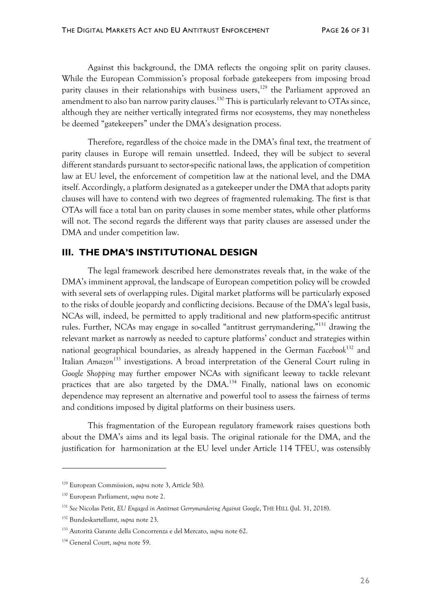Against this background, the DMA reflects the ongoing split on parity clauses. While the European Commission's proposal forbade gatekeepers from imposing broad parity clauses in their relationships with business users,<sup>129</sup> the Parliament approved an amendment to also ban narrow parity clauses.<sup>130</sup> This is particularly relevant to OTAs since, although they are neither vertically integrated firms nor ecosystems, they may nonetheless be deemed "gatekeepers" under the DMA's designation process.

Therefore, regardless of the choice made in the DMA's final text, the treatment of parity clauses in Europe will remain unsettled. Indeed, they will be subject to several different standards pursuant to sector-specific national laws, the application of competition law at EU level, the enforcement of competition law at the national level, and the DMA itself. Accordingly, a platform designated as a gatekeeper under the DMA that adopts parity clauses will have to contend with two degrees of fragmented rulemaking. The first is that OTAs will face a total ban on parity clauses in some member states, while other platforms will not. The second regards the different ways that parity clauses are assessed under the DMA and under competition law.

## **III. THE DMA'S INSTITUTIONAL DESIGN**

The legal framework described here demonstrates reveals that, in the wake of the DMA's imminent approval, the landscape of European competition policy will be crowded with several sets of overlapping rules. Digital market platforms will be particularly exposed to the risks of double jeopardy and conflicting decisions. Because of the DMA's legal basis, NCAs will, indeed, be permitted to apply traditional and new platform-specific antitrust rules. Further, NCAs may engage in so-called "antitrust gerrymandering,"<sup>131</sup> drawing the relevant market as narrowly as needed to capture platforms' conduct and strategies within national geographical boundaries, as already happened in the German *Facebook*<sup>132</sup> and Italian *Amazon*<sup>133</sup> investigations. A broad interpretation of the General Court ruling in *Google Shopping* may further empower NCAs with significant leeway to tackle relevant practices that are also targeted by the  $DMA<sup>134</sup>$  Finally, national laws on economic dependence may represent an alternative and powerful tool to assess the fairness of terms and conditions imposed by digital platforms on their business users.

This fragmentation of the European regulatory framework raises questions both about the DMA's aims and its legal basis. The original rationale for the DMA, and the justification for harmonization at the EU level under Article 114 TFEU, was ostensibly

<sup>129</sup> European Commission, *supra* note 3, Article 5(b).

<sup>130</sup> European Parliament, *supra* note 2.

<sup>131</sup> *See* Nicolas Petit, *EU Engaged in Antitrust Gerrymandering Against Google*, THE HILL (Jul. 31, 2018).

<sup>132</sup> Bundeskartellamt, *supra* note 23.

<sup>133</sup> Autorità Garante della Concorrenza e del Mercato, *supra* note 62.

<sup>134</sup> General Court, *supra* note 59.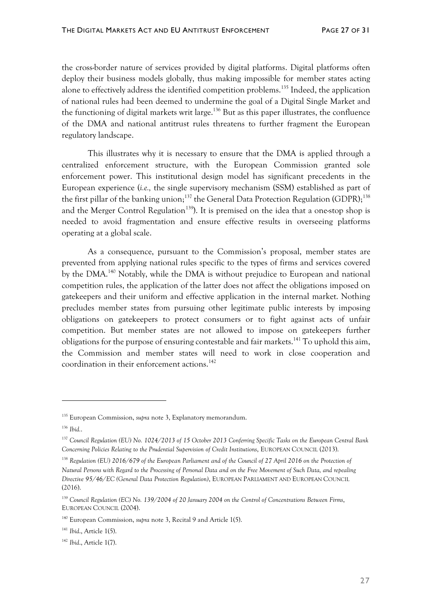the cross-border nature of services provided by digital platforms. Digital platforms often deploy their business models globally, thus making impossible for member states acting alone to effectively address the identified competition problems.<sup>135</sup> Indeed, the application of national rules had been deemed to undermine the goal of a Digital Single Market and the functioning of digital markets writ large.<sup>136</sup> But as this paper illustrates, the confluence of the DMA and national antitrust rules threatens to further fragment the European regulatory landscape.

This illustrates why it is necessary to ensure that the DMA is applied through a centralized enforcement structure, with the European Commission granted sole enforcement power. This institutional design model has significant precedents in the European experience (*i.e.,* the single supervisory mechanism (SSM) established as part of the first pillar of the banking union;<sup>137</sup> the General Data Protection Regulation (GDPR);<sup>138</sup> and the Merger Control Regulation<sup>139</sup>). It is premised on the idea that a one-stop shop is needed to avoid fragmentation and ensure effective results in overseeing platforms operating at a global scale.

As a consequence, pursuant to the Commission's proposal, member states are prevented from applying national rules specific to the types of firms and services covered by the DMA.<sup>140</sup> Notably, while the DMA is without prejudice to European and national competition rules, the application of the latter does not affect the obligations imposed on gatekeepers and their uniform and effective application in the internal market. Nothing precludes member states from pursuing other legitimate public interests by imposing obligations on gatekeepers to protect consumers or to fight against acts of unfair competition. But member states are not allowed to impose on gatekeepers further obligations for the purpose of ensuring contestable and fair markets.<sup>141</sup> To uphold this aim, the Commission and member states will need to work in close cooperation and coordination in their enforcement actions.<sup>142</sup>

<sup>135</sup> European Commission, *supra* note 3, Explanatory memorandum.

<sup>136</sup> *Ibid.*.

<sup>137</sup> *Council Regulation (EU) No. 1024/2013 of 15 October 2013 Conferring Specific Tasks on the European Central Bank Concerning Policies Relating to the Prudential Supervision of Credit Institutions*, EUROPEAN COUNCIL (2013).

<sup>&</sup>lt;sup>138</sup> Regulation (EU) 2016/679 of the European Parliament and of the Council of 27 April 2016 on the Protection of *Natural Persons with Regard to the Processing of Personal Data and on the Free Movement of Such Data, and repealing Directive 95/46/EC (General Data Protection Regulation)*, EUROPEAN PARLIAMENT AND EUROPEAN COUNCIL (2016).

<sup>139</sup> *Council Regulation (EC) No. 139/2004 of 20 January 2004 on the Control of Concentrations Between Firms*, EUROPEAN COUNCIL (2004).

<sup>140</sup> European Commission, *supra* note 3, Recital 9 and Article 1(5).

<sup>141</sup> *Ibid*., Article 1(5).

<sup>142</sup> *Ibid*., Article 1(7).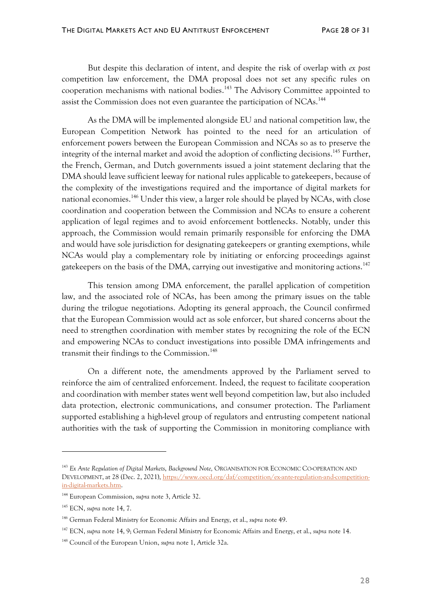But despite this declaration of intent, and despite the risk of overlap with *ex post* competition law enforcement, the DMA proposal does not set any specific rules on cooperation mechanisms with national bodies. <sup>143</sup> The Advisory Committee appointed to assist the Commission does not even guarantee the participation of NCAs.<sup>144</sup>

As the DMA will be implemented alongside EU and national competition law, the European Competition Network has pointed to the need for an articulation of enforcement powers between the European Commission and NCAs so as to preserve the integrity of the internal market and avoid the adoption of conflicting decisions.<sup>145</sup> Further, the French, German, and Dutch governments issued a joint statement declaring that the DMA should leave sufficient leeway for national rules applicable to gatekeepers, because of the complexity of the investigations required and the importance of digital markets for national economies.<sup>146</sup> Under this view, a larger role should be played by NCAs, with close coordination and cooperation between the Commission and NCAs to ensure a coherent application of legal regimes and to avoid enforcement bottlenecks. Notably, under this approach, the Commission would remain primarily responsible for enforcing the DMA and would have sole jurisdiction for designating gatekeepers or granting exemptions, while NCAs would play a complementary role by initiating or enforcing proceedings against gatekeepers on the basis of the DMA, carrying out investigative and monitoring actions.<sup>147</sup>

This tension among DMA enforcement, the parallel application of competition law, and the associated role of NCAs, has been among the primary issues on the table during the trilogue negotiations. Adopting its general approach, the Council confirmed that the European Commission would act as sole enforcer, but shared concerns about the need to strengthen coordination with member states by recognizing the role of the ECN and empowering NCAs to conduct investigations into possible DMA infringements and transmit their findings to the Commission.<sup>148</sup>

On a different note, the amendments approved by the Parliament served to reinforce the aim of centralized enforcement. Indeed, the request to facilitate cooperation and coordination with member states went well beyond competition law, but also included data protection, electronic communications, and consumer protection. The Parliament supported establishing a high-level group of regulators and entrusting competent national authorities with the task of supporting the Commission in monitoring compliance with

<sup>143</sup> *Ex Ante Regulation of Digital Markets*, *Background Note,* ORGANISATION FOR ECONOMIC CO-OPERATION AND DEVELOPMENT, at 28 (Dec. 2, 2021), [https://www.oecd.org/daf/competition/ex-ante-regulation-and-competition](https://www.oecd.org/daf/competition/ex-ante-regulation-and-competition-in-digital-markets.htm)[in-digital-markets.htm.](https://www.oecd.org/daf/competition/ex-ante-regulation-and-competition-in-digital-markets.htm)

<sup>144</sup> European Commission, *supra* note 3, Article 32.

<sup>145</sup> ECN, *supra* note 14, 7.

<sup>146</sup> German Federal Ministry for Economic Affairs and Energy, et al., *supra* note 49.

<sup>147</sup> ECN, *supra* note 14, 9; German Federal Ministry for Economic Affairs and Energy, et al., *supra* note 14.

<sup>148</sup> Council of the European Union, *supra* note 1, Article 32a.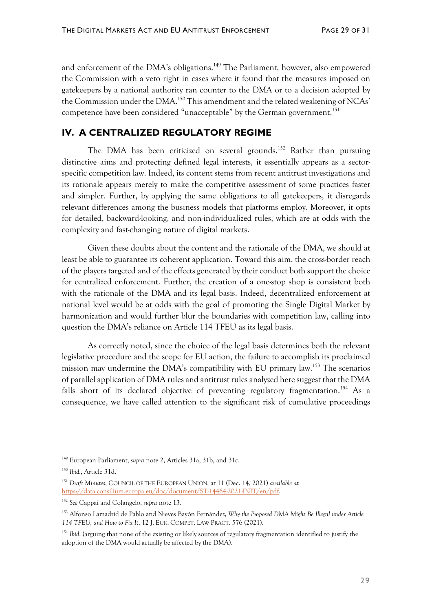and enforcement of the DMA's obligations.<sup>149</sup> The Parliament, however, also empowered the Commission with a veto right in cases where it found that the measures imposed on gatekeepers by a national authority ran counter to the DMA or to a decision adopted by the Commission under the DMA.<sup>150</sup> This amendment and the related weakening of NCAs' competence have been considered "unacceptable" by the German government. 151

## **IV. A CENTRALIZED REGULATORY REGIME**

The DMA has been criticized on several grounds.<sup>152</sup> Rather than pursuing distinctive aims and protecting defined legal interests, it essentially appears as a sectorspecific competition law. Indeed, its content stems from recent antitrust investigations and its rationale appears merely to make the competitive assessment of some practices faster and simpler. Further, by applying the same obligations to all gatekeepers, it disregards relevant differences among the business models that platforms employ. Moreover, it opts for detailed, backward-looking, and non-individualized rules, which are at odds with the complexity and fast-changing nature of digital markets.

Given these doubts about the content and the rationale of the DMA, we should at least be able to guarantee its coherent application. Toward this aim, the cross-border reach of the players targeted and of the effects generated by their conduct both support the choice for centralized enforcement. Further, the creation of a one-stop shop is consistent both with the rationale of the DMA and its legal basis. Indeed, decentralized enforcement at national level would be at odds with the goal of promoting the Single Digital Market by harmonization and would further blur the boundaries with competition law, calling into question the DMA's reliance on Article 114 TFEU as its legal basis.

As correctly noted, since the choice of the legal basis determines both the relevant legislative procedure and the scope for EU action, the failure to accomplish its proclaimed mission may undermine the DMA's compatibility with EU primary law.<sup>153</sup> The scenarios of parallel application of DMA rules and antitrust rules analyzed here suggest that the DMA falls short of its declared objective of preventing regulatory fragmentation.<sup>154</sup> As a consequence, we have called attention to the significant risk of cumulative proceedings

<sup>149</sup> European Parliament, *supra* note 2, Articles 31a, 31b, and 31c.

<sup>150</sup> *Ibid.*, Article 31d.

<sup>151</sup> *Draft Minutes*, COUNCIL OF THE EUROPEAN UNION, at 11 (Dec. 14, 2021) *available at* [https://data.consilium.europa.eu/doc/document/ST-14464-2021-INIT/en/pdf.](https://data.consilium.europa.eu/doc/document/ST-14464-2021-INIT/en/pdf)

<sup>152</sup> *See* Cappai and Colangelo, *supra* note 13.

<sup>153</sup> Alfonso Lamadrid de Pablo and Nieves Bayón Fernández, *Why the Proposed DMA Might Be Illegal under Article 114 TFEU, and How to Fix It*, 12 J. EUR. COMPET. LAW PRACT. 576 (2021).

<sup>&</sup>lt;sup>154</sup> *Ibid*. (arguing that none of the existing or likely sources of regulatory fragmentation identified to justify the adoption of the DMA would actually be affected by the DMA).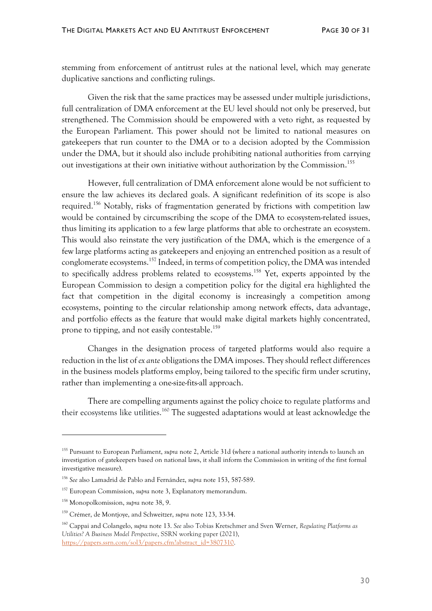stemming from enforcement of antitrust rules at the national level, which may generate duplicative sanctions and conflicting rulings.

Given the risk that the same practices may be assessed under multiple jurisdictions, full centralization of DMA enforcement at the EU level should not only be preserved, but strengthened. The Commission should be empowered with a veto right, as requested by the European Parliament. This power should not be limited to national measures on gatekeepers that run counter to the DMA or to a decision adopted by the Commission under the DMA, but it should also include prohibiting national authorities from carrying out investigations at their own initiative without authorization by the Commission. 155

However, full centralization of DMA enforcement alone would be not sufficient to ensure the law achieves its declared goals. A significant redefinition of its scope is also required.<sup>156</sup> Notably, risks of fragmentation generated by frictions with competition law would be contained by circumscribing the scope of the DMA to ecosystem-related issues, thus limiting its application to a few large platforms that able to orchestrate an ecosystem. This would also reinstate the very justification of the DMA, which is the emergence of a few large platforms acting as gatekeepers and enjoying an entrenched position as a result of conglomerate ecosystems.<sup>157</sup> Indeed, in terms of competition policy, the DMA was intended to specifically address problems related to ecosystems.<sup>158</sup> Yet, experts appointed by the European Commission to design a competition policy for the digital era highlighted the fact that competition in the digital economy is increasingly a competition among ecosystems, pointing to the circular relationship among network effects, data advantage, and portfolio effects as the feature that would make digital markets highly concentrated, prone to tipping, and not easily contestable.<sup>159</sup>

Changes in the designation process of targeted platforms would also require a reduction in the list of *ex ante* obligations the DMA imposes. Theyshould reflect differences in the business models platforms employ, being tailored to the specific firm under scrutiny, rather than implementing a one-size-fits-all approach.

There are compelling arguments against the policy choice to regulate platforms and their ecosystems like utilities.<sup>160</sup> The suggested adaptations would at least acknowledge the

<sup>155</sup> Pursuant to European Parliament, *supra* note 2, Article 31d (where a national authority intends to launch an investigation of gatekeepers based on national laws, it shall inform the Commission in writing of the first formal investigative measure).

<sup>156</sup> *See* also Lamadrid de Pablo and Fernández, *supra* note 153, 587-589.

<sup>157</sup> European Commission, *supra* note 3, Explanatory memorandum.

<sup>158</sup> Monopolkomission, *supra* note 38, 9.

<sup>159</sup> Crémer, de Montjoye, and Schweitzer, *supra* note 123, 33-34.

<sup>160</sup> Cappai and Colangelo, *supra* note 13. *See* also Tobias Kretschmer and Sven Werner, *Regulating Platforms as Utilities? A Business Model Perspective*, SSRN working paper (2021), [https://papers.ssrn.com/sol3/papers.cfm?abstract\\_id=3807310.](https://papers.ssrn.com/sol3/papers.cfm?abstract_id=3807310)